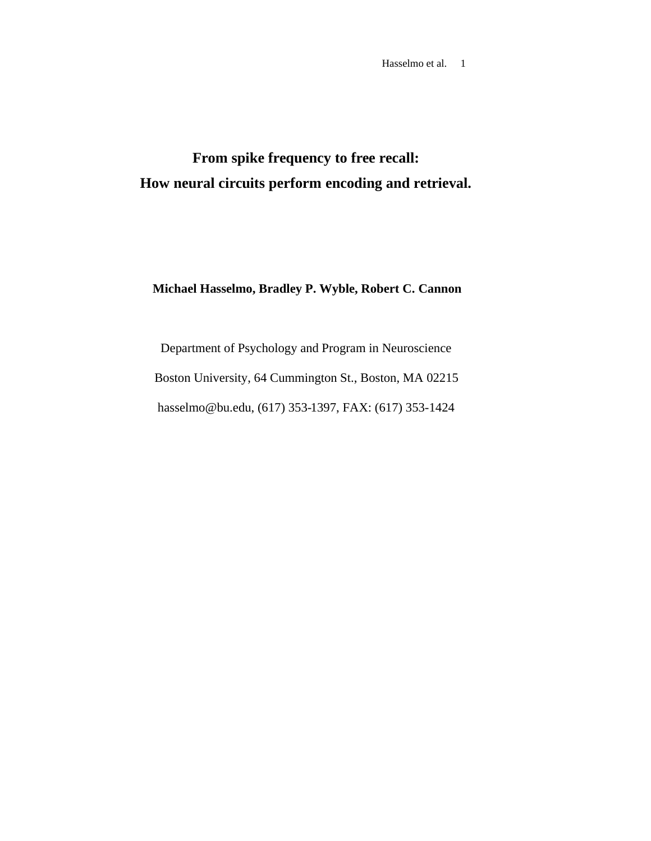**From spike frequency to free recall: How neural circuits perform encoding and retrieval.**

# **Michael Hasselmo, Bradley P. Wyble, Robert C. Cannon**

Department of Psychology and Program in Neuroscience Boston University, 64 Cummington St., Boston, MA 02215 hasselmo@bu.edu, (617) 353-1397, FAX: (617) 353-1424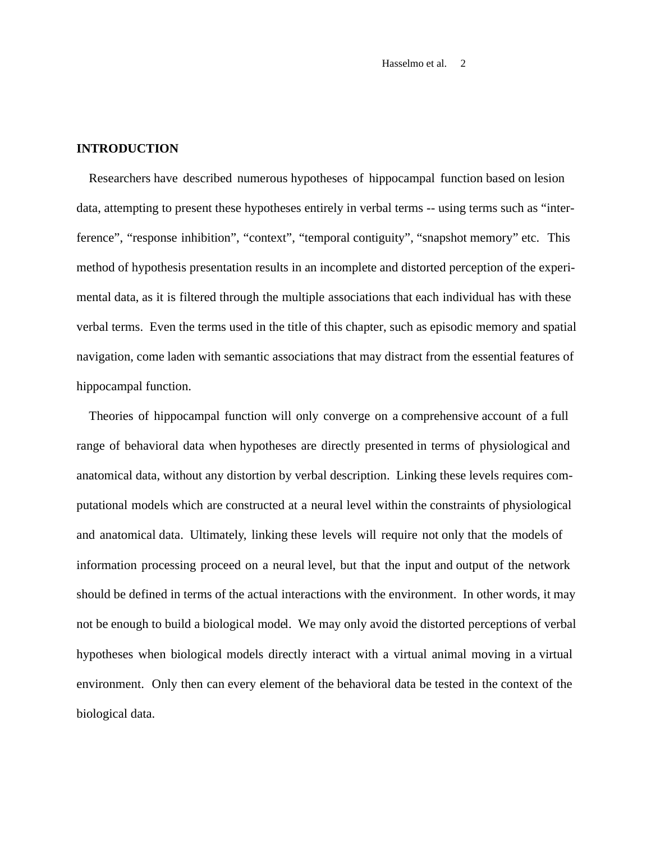## **INTRODUCTION**

Researchers have described numerous hypotheses of hippocampal function based on lesion data, attempting to present these hypotheses entirely in verbal terms -- using terms such as "interference", "response inhibition", "context", "temporal contiguity", "snapshot memory" etc. This method of hypothesis presentation results in an incomplete and distorted perception of the experimental data, as it is filtered through the multiple associations that each individual has with these verbal terms. Even the terms used in the title of this chapter, such as episodic memory and spatial navigation, come laden with semantic associations that may distract from the essential features of hippocampal function.

Theories of hippocampal function will only converge on a comprehensive account of a full range of behavioral data when hypotheses are directly presented in terms of physiological and anatomical data, without any distortion by verbal description. Linking these levels requires computational models which are constructed at a neural level within the constraints of physiological and anatomical data. Ultimately, linking these levels will require not only that the models of information processing proceed on a neural level, but that the input and output of the network should be defined in terms of the actual interactions with the environment. In other words, it may not be enough to build a biological model. We may only avoid the distorted perceptions of verbal hypotheses when biological models directly interact with a virtual animal moving in a virtual environment. Only then can every element of the behavioral data be tested in the context of the biological data.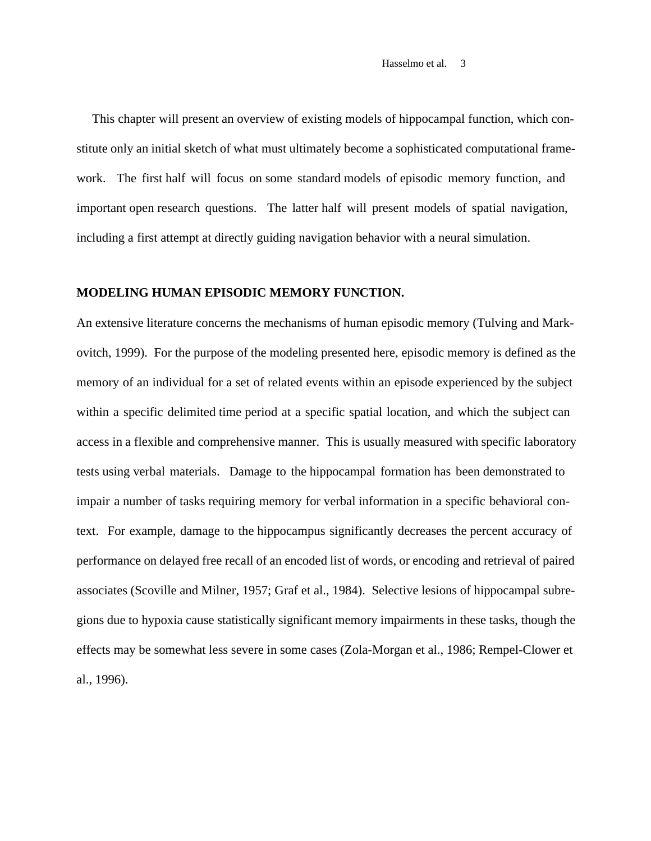This chapter will present an overview of existing models of hippocampal function, which constitute only an initial sketch of what must ultimately become a sophisticated computational framework. The first half will focus on some standard models of episodic memory function, and important open research questions. The latter half will present models of spatial navigation, including a first attempt at directly guiding navigation behavior with a neural simulation.

# **MODELING HUMAN EPISODIC MEMORY FUNCTION.**

An extensive literature concerns the mechanisms of human episodic memory (Tulving and Markovitch, 1999). For the purpose of the modeling presented here, episodic memory is defined as the memory of an individual for a set of related events within an episode experienced by the subject within a specific delimited time period at a specific spatial location, and which the subject can access in a flexible and comprehensive manner. This is usually measured with specific laboratory tests using verbal materials. Damage to the hippocampal formation has been demonstrated to impair a number of tasks requiring memory for verbal information in a specific behavioral context. For example, damage to the hippocampus significantly decreases the percent accuracy of performance on delayed free recall of an encoded list of words, or encoding and retrieval of paired associates (Scoville and Milner, 1957; Graf et al., 1984). Selective lesions of hippocampal subregions due to hypoxia cause statistically significant memory impairments in these tasks, though the effects may be somewhat less severe in some cases (Zola-Morgan et al., 1986; Rempel-Clower et al., 1996).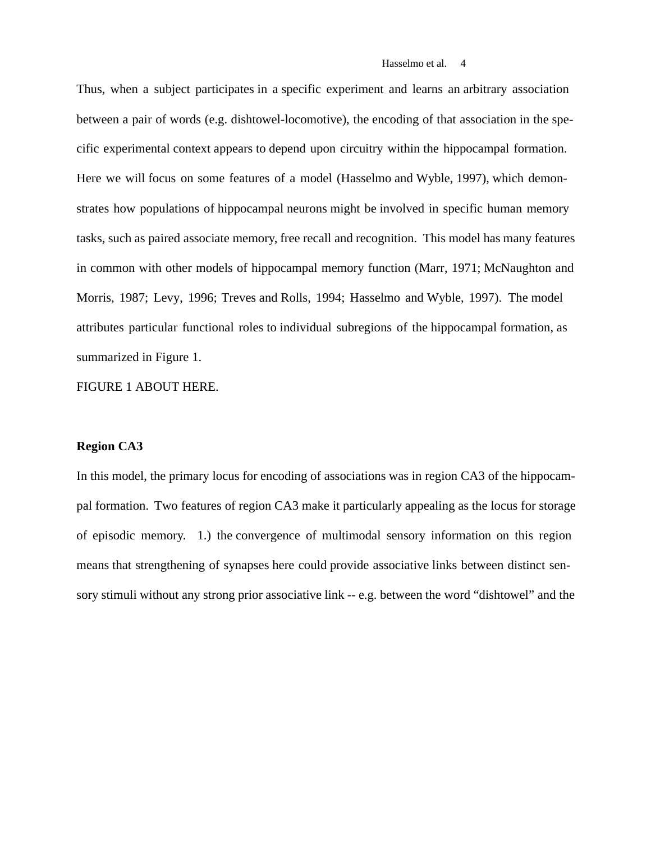Thus, when a subject participates in a specific experiment and learns an arbitrary association between a pair of words (e.g. dishtowel-locomotive), the encoding of that association in the specific experimental context appears to depend upon circuitry within the hippocampal formation. Here we will focus on some features of a model (Hasselmo and Wyble, 1997), which demonstrates how populations of hippocampal neurons might be involved in specific human memory tasks, such as paired associate memory, free recall and recognition. This model has many features in common with other models of hippocampal memory function (Marr, 1971; McNaughton and Morris, 1987; Levy, 1996; Treves and Rolls, 1994; Hasselmo and Wyble, 1997). The model attributes particular functional roles to individual subregions of the hippocampal formation, as summarized in Figure 1.

FIGURE 1 ABOUT HERE.

### **Region CA3**

In this model, the primary locus for encoding of associations was in region CA3 of the hippocampal formation. Two features of region CA3 make it particularly appealing as the locus for storage of episodic memory. 1.) the convergence of multimodal sensory information on this region means that strengthening of synapses here could provide associative links between distinct sensory stimuli without any strong prior associative link -- e.g. between the word "dishtowel" and the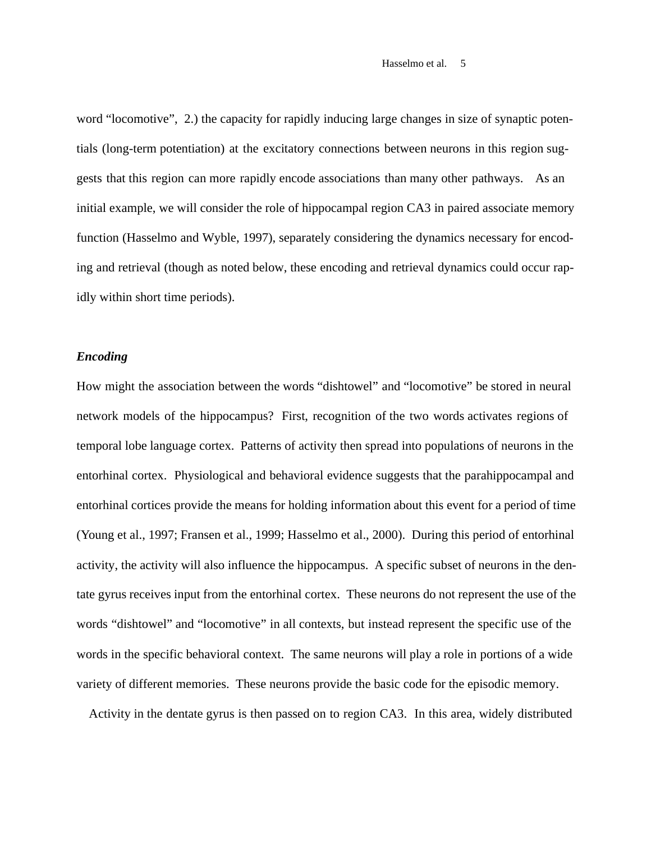word "locomotive", 2.) the capacity for rapidly inducing large changes in size of synaptic potentials (long-term potentiation) at the excitatory connections between neurons in this region suggests that this region can more rapidly encode associations than many other pathways. As an initial example, we will consider the role of hippocampal region CA3 in paired associate memory function (Hasselmo and Wyble, 1997), separately considering the dynamics necessary for encoding and retrieval (though as noted below, these encoding and retrieval dynamics could occur rapidly within short time periods).

# *Encoding*

How might the association between the words "dishtowel" and "locomotive" be stored in neural network models of the hippocampus? First, recognition of the two words activates regions of temporal lobe language cortex. Patterns of activity then spread into populations of neurons in the entorhinal cortex. Physiological and behavioral evidence suggests that the parahippocampal and entorhinal cortices provide the means for holding information about this event for a period of time (Young et al., 1997; Fransen et al., 1999; Hasselmo et al., 2000). During this period of entorhinal activity, the activity will also influence the hippocampus. A specific subset of neurons in the dentate gyrus receives input from the entorhinal cortex. These neurons do not represent the use of the words "dishtowel" and "locomotive" in all contexts, but instead represent the specific use of the words in the specific behavioral context. The same neurons will play a role in portions of a wide variety of different memories. These neurons provide the basic code for the episodic memory.

Activity in the dentate gyrus is then passed on to region CA3. In this area, widely distributed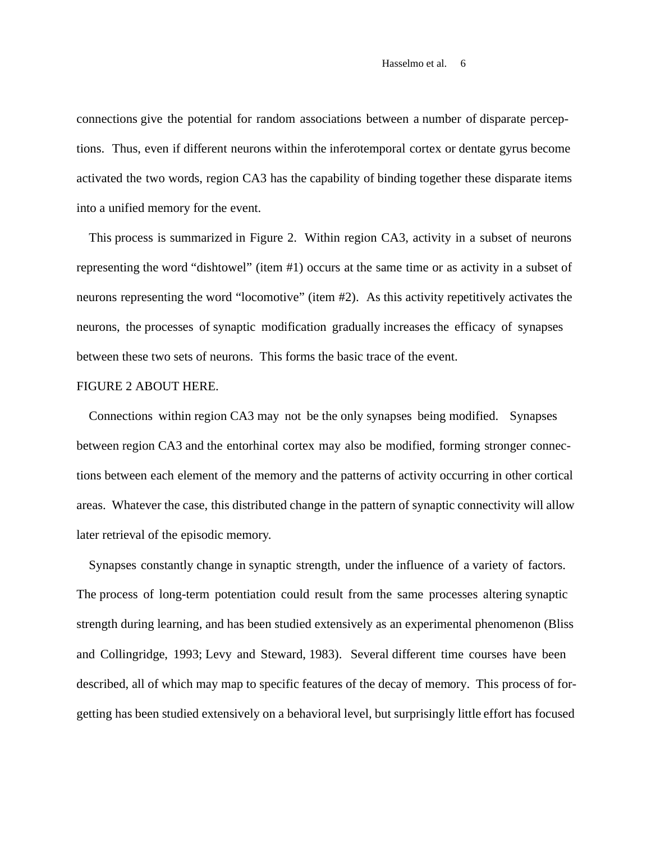connections give the potential for random associations between a number of disparate perceptions. Thus, even if different neurons within the inferotemporal cortex or dentate gyrus become activated the two words, region CA3 has the capability of binding together these disparate items into a unified memory for the event.

This process is summarized in Figure 2. Within region CA3, activity in a subset of neurons representing the word "dishtowel" (item #1) occurs at the same time or as activity in a subset of neurons representing the word "locomotive" (item #2). As this activity repetitively activates the neurons, the processes of synaptic modification gradually increases the efficacy of synapses between these two sets of neurons. This forms the basic trace of the event.

# FIGURE 2 ABOUT HERE.

Connections within region CA3 may not be the only synapses being modified. Synapses between region CA3 and the entorhinal cortex may also be modified, forming stronger connections between each element of the memory and the patterns of activity occurring in other cortical areas. Whatever the case, this distributed change in the pattern of synaptic connectivity will allow later retrieval of the episodic memory.

Synapses constantly change in synaptic strength, under the influence of a variety of factors. The process of long-term potentiation could result from the same processes altering synaptic strength during learning, and has been studied extensively as an experimental phenomenon (Bliss and Collingridge, 1993; Levy and Steward, 1983). Several different time courses have been described, all of which may map to specific features of the decay of memory. This process of forgetting has been studied extensively on a behavioral level, but surprisingly little effort has focused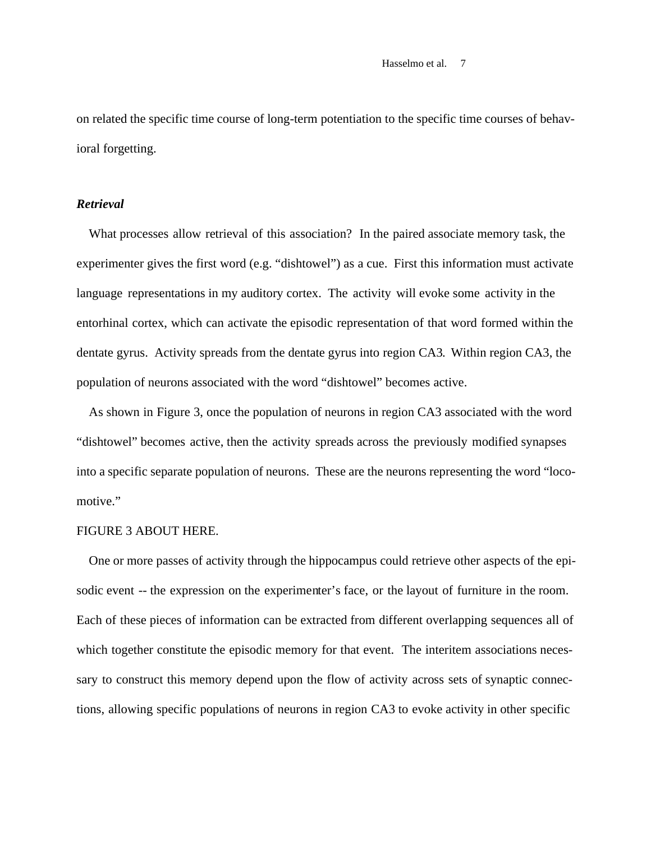on related the specific time course of long-term potentiation to the specific time courses of behavioral forgetting.

## *Retrieval*

What processes allow retrieval of this association? In the paired associate memory task, the experimenter gives the first word (e.g. "dishtowel") as a cue. First this information must activate language representations in my auditory cortex. The activity will evoke some activity in the entorhinal cortex, which can activate the episodic representation of that word formed within the dentate gyrus. Activity spreads from the dentate gyrus into region CA3. Within region CA3, the population of neurons associated with the word "dishtowel" becomes active.

As shown in Figure 3, once the population of neurons in region CA3 associated with the word "dishtowel" becomes active, then the activity spreads across the previously modified synapses into a specific separate population of neurons. These are the neurons representing the word "locomotive."

# FIGURE 3 ABOUT HERE.

One or more passes of activity through the hippocampus could retrieve other aspects of the episodic event -- the expression on the experimenter's face, or the layout of furniture in the room. Each of these pieces of information can be extracted from different overlapping sequences all of which together constitute the episodic memory for that event. The interitem associations necessary to construct this memory depend upon the flow of activity across sets of synaptic connections, allowing specific populations of neurons in region CA3 to evoke activity in other specific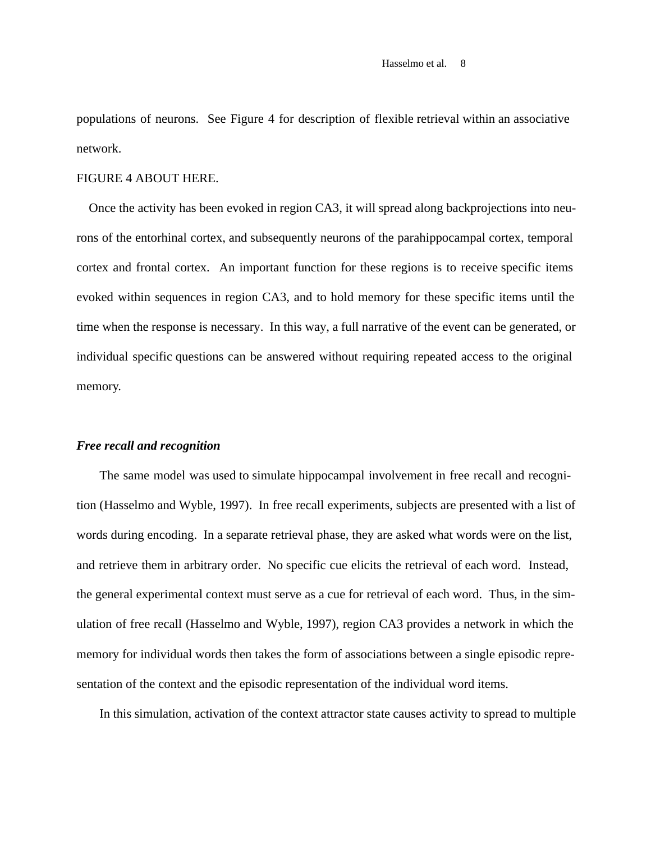populations of neurons. See Figure 4 for description of flexible retrieval within an associative network.

#### FIGURE 4 ABOUT HERE.

Once the activity has been evoked in region CA3, it will spread along backprojections into neurons of the entorhinal cortex, and subsequently neurons of the parahippocampal cortex, temporal cortex and frontal cortex. An important function for these regions is to receive specific items evoked within sequences in region CA3, and to hold memory for these specific items until the time when the response is necessary. In this way, a full narrative of the event can be generated, or individual specific questions can be answered without requiring repeated access to the original memory.

#### *Free recall and recognition*

The same model was used to simulate hippocampal involvement in free recall and recognition (Hasselmo and Wyble, 1997). In free recall experiments, subjects are presented with a list of words during encoding. In a separate retrieval phase, they are asked what words were on the list, and retrieve them in arbitrary order. No specific cue elicits the retrieval of each word. Instead, the general experimental context must serve as a cue for retrieval of each word. Thus, in the simulation of free recall (Hasselmo and Wyble, 1997), region CA3 provides a network in which the memory for individual words then takes the form of associations between a single episodic representation of the context and the episodic representation of the individual word items.

In this simulation, activation of the context attractor state causes activity to spread to multiple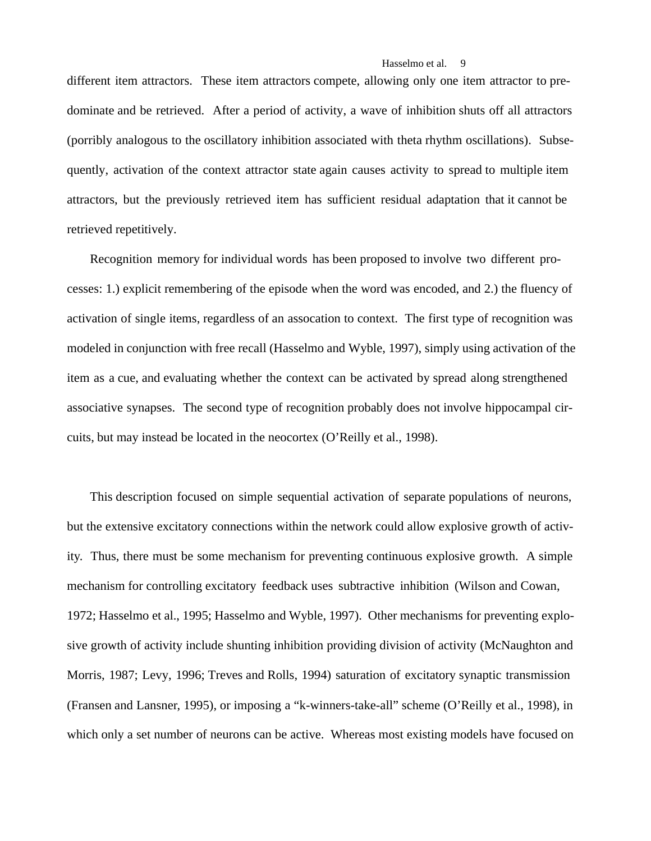different item attractors. These item attractors compete, allowing only one item attractor to predominate and be retrieved. After a period of activity, a wave of inhibition shuts off all attractors (porribly analogous to the oscillatory inhibition associated with theta rhythm oscillations). Subsequently, activation of the context attractor state again causes activity to spread to multiple item attractors, but the previously retrieved item has sufficient residual adaptation that it cannot be retrieved repetitively.

Recognition memory for individual words has been proposed to involve two different processes: 1.) explicit remembering of the episode when the word was encoded, and 2.) the fluency of activation of single items, regardless of an assocation to context. The first type of recognition was modeled in conjunction with free recall (Hasselmo and Wyble, 1997), simply using activation of the item as a cue, and evaluating whether the context can be activated by spread along strengthened associative synapses. The second type of recognition probably does not involve hippocampal circuits, but may instead be located in the neocortex (O'Reilly et al., 1998).

This description focused on simple sequential activation of separate populations of neurons, but the extensive excitatory connections within the network could allow explosive growth of activity. Thus, there must be some mechanism for preventing continuous explosive growth. A simple mechanism for controlling excitatory feedback uses subtractive inhibition (Wilson and Cowan, 1972; Hasselmo et al., 1995; Hasselmo and Wyble, 1997). Other mechanisms for preventing explosive growth of activity include shunting inhibition providing division of activity (McNaughton and Morris, 1987; Levy, 1996; Treves and Rolls, 1994) saturation of excitatory synaptic transmission (Fransen and Lansner, 1995), or imposing a "k-winners-take-all" scheme (O'Reilly et al., 1998), in which only a set number of neurons can be active. Whereas most existing models have focused on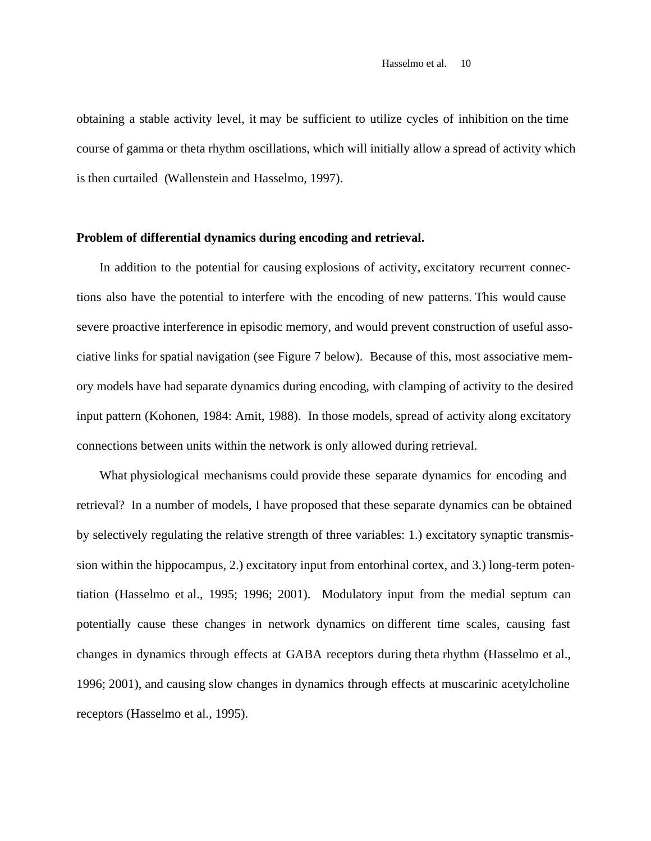obtaining a stable activity level, it may be sufficient to utilize cycles of inhibition on the time course of gamma or theta rhythm oscillations, which will initially allow a spread of activity which is then curtailed (Wallenstein and Hasselmo, 1997).

#### **Problem of differential dynamics during encoding and retrieval.**

In addition to the potential for causing explosions of activity, excitatory recurrent connections also have the potential to interfere with the encoding of new patterns. This would cause severe proactive interference in episodic memory, and would prevent construction of useful associative links for spatial navigation (see Figure 7 below). Because of this, most associative memory models have had separate dynamics during encoding, with clamping of activity to the desired input pattern (Kohonen, 1984: Amit, 1988). In those models, spread of activity along excitatory connections between units within the network is only allowed during retrieval.

What physiological mechanisms could provide these separate dynamics for encoding and retrieval? In a number of models, I have proposed that these separate dynamics can be obtained by selectively regulating the relative strength of three variables: 1.) excitatory synaptic transmission within the hippocampus, 2.) excitatory input from entorhinal cortex, and 3.) long-term potentiation (Hasselmo et al., 1995; 1996; 2001). Modulatory input from the medial septum can potentially cause these changes in network dynamics on different time scales, causing fast changes in dynamics through effects at GABA receptors during theta rhythm (Hasselmo et al., 1996; 2001), and causing slow changes in dynamics through effects at muscarinic acetylcholine receptors (Hasselmo et al., 1995).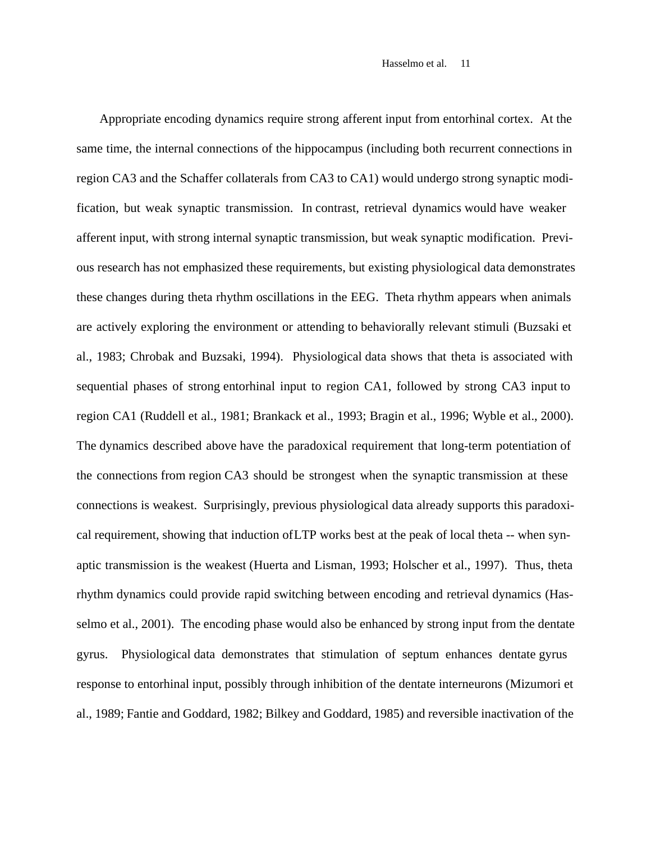Appropriate encoding dynamics require strong afferent input from entorhinal cortex. At the same time, the internal connections of the hippocampus (including both recurrent connections in region CA3 and the Schaffer collaterals from CA3 to CA1) would undergo strong synaptic modification, but weak synaptic transmission. In contrast, retrieval dynamics would have weaker afferent input, with strong internal synaptic transmission, but weak synaptic modification. Previous research has not emphasized these requirements, but existing physiological data demonstrates these changes during theta rhythm oscillations in the EEG. Theta rhythm appears when animals are actively exploring the environment or attending to behaviorally relevant stimuli (Buzsaki et al., 1983; Chrobak and Buzsaki, 1994). Physiological data shows that theta is associated with sequential phases of strong entorhinal input to region CA1, followed by strong CA3 input to region CA1 (Ruddell et al., 1981; Brankack et al., 1993; Bragin et al., 1996; Wyble et al., 2000). The dynamics described above have the paradoxical requirement that long-term potentiation of the connections from region CA3 should be strongest when the synaptic transmission at these connections is weakest. Surprisingly, previous physiological data already supports this paradoxical requirement, showing that induction of LTP works best at the peak of local theta -- when synaptic transmission is the weakest (Huerta and Lisman, 1993; Holscher et al., 1997). Thus, theta rhythm dynamics could provide rapid switching between encoding and retrieval dynamics (Hasselmo et al., 2001). The encoding phase would also be enhanced by strong input from the dentate gyrus. Physiological data demonstrates that stimulation of septum enhances dentate gyrus response to entorhinal input, possibly through inhibition of the dentate interneurons (Mizumori et al., 1989; Fantie and Goddard, 1982; Bilkey and Goddard, 1985) and reversible inactivation of the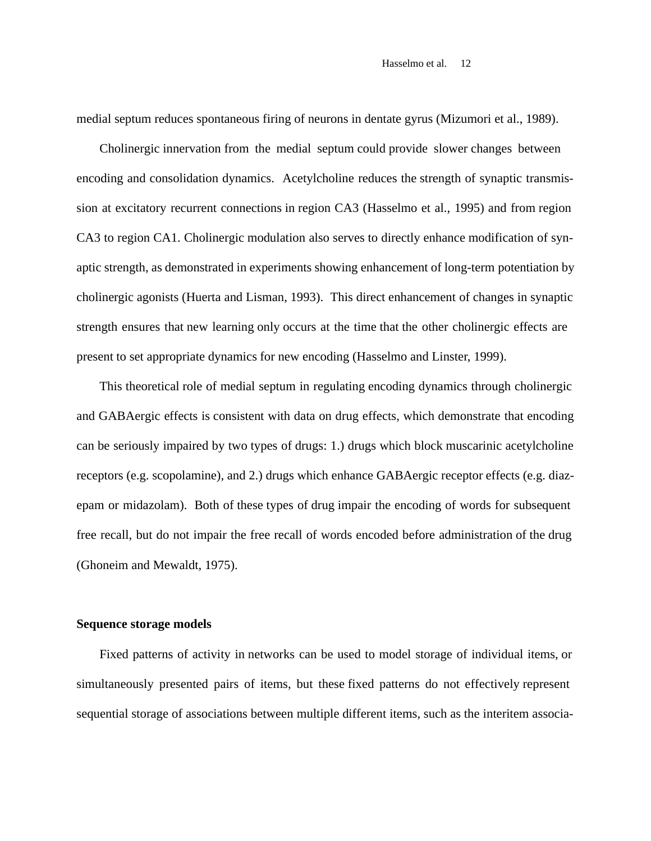medial septum reduces spontaneous firing of neurons in dentate gyrus (Mizumori et al., 1989).

Cholinergic innervation from the medial septum could provide slower changes between encoding and consolidation dynamics. Acetylcholine reduces the strength of synaptic transmission at excitatory recurrent connections in region CA3 (Hasselmo et al., 1995) and from region CA3 to region CA1. Cholinergic modulation also serves to directly enhance modification of synaptic strength, as demonstrated in experiments showing enhancement of long-term potentiation by cholinergic agonists (Huerta and Lisman, 1993). This direct enhancement of changes in synaptic strength ensures that new learning only occurs at the time that the other cholinergic effects are present to set appropriate dynamics for new encoding (Hasselmo and Linster, 1999).

This theoretical role of medial septum in regulating encoding dynamics through cholinergic and GABAergic effects is consistent with data on drug effects, which demonstrate that encoding can be seriously impaired by two types of drugs: 1.) drugs which block muscarinic acetylcholine receptors (e.g. scopolamine), and 2.) drugs which enhance GABAergic receptor effects (e.g. diazepam or midazolam). Both of these types of drug impair the encoding of words for subsequent free recall, but do not impair the free recall of words encoded before administration of the drug (Ghoneim and Mewaldt, 1975).

# **Sequence storage models**

Fixed patterns of activity in networks can be used to model storage of individual items, or simultaneously presented pairs of items, but these fixed patterns do not effectively represent sequential storage of associations between multiple different items, such as the interitem associa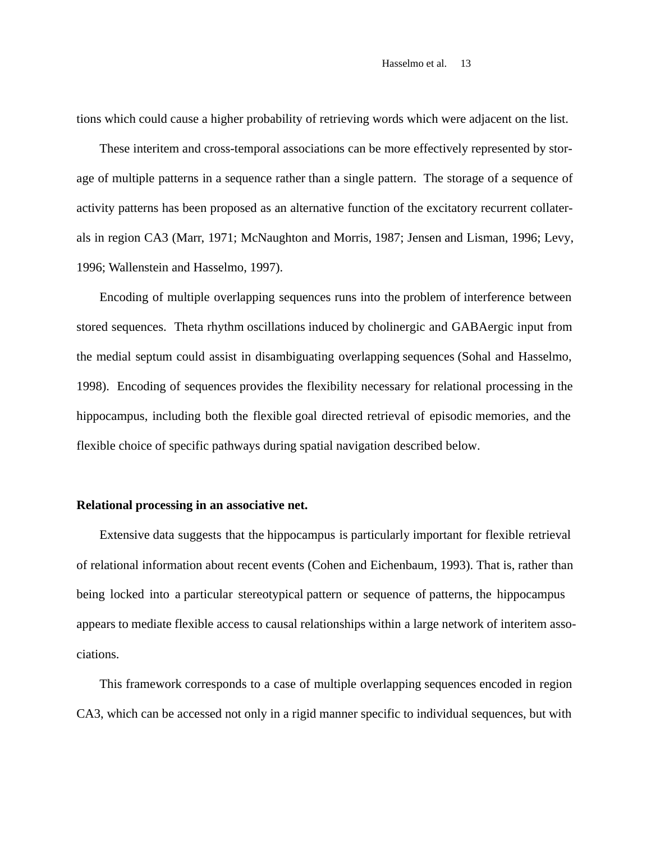tions which could cause a higher probability of retrieving words which were adjacent on the list.

These interitem and cross-temporal associations can be more effectively represented by storage of multiple patterns in a sequence rather than a single pattern. The storage of a sequence of activity patterns has been proposed as an alternative function of the excitatory recurrent collaterals in region CA3 (Marr, 1971; McNaughton and Morris, 1987; Jensen and Lisman, 1996; Levy, 1996; Wallenstein and Hasselmo, 1997).

Encoding of multiple overlapping sequences runs into the problem of interference between stored sequences. Theta rhythm oscillations induced by cholinergic and GABAergic input from the medial septum could assist in disambiguating overlapping sequences (Sohal and Hasselmo, 1998). Encoding of sequences provides the flexibility necessary for relational processing in the hippocampus, including both the flexible goal directed retrieval of episodic memories, and the flexible choice of specific pathways during spatial navigation described below.

# **Relational processing in an associative net.**

Extensive data suggests that the hippocampus is particularly important for flexible retrieval of relational information about recent events (Cohen and Eichenbaum, 1993). That is, rather than being locked into a particular stereotypical pattern or sequence of patterns, the hippocampus appears to mediate flexible access to causal relationships within a large network of interitem associations.

This framework corresponds to a case of multiple overlapping sequences encoded in region CA3, which can be accessed not only in a rigid manner specific to individual sequences, but with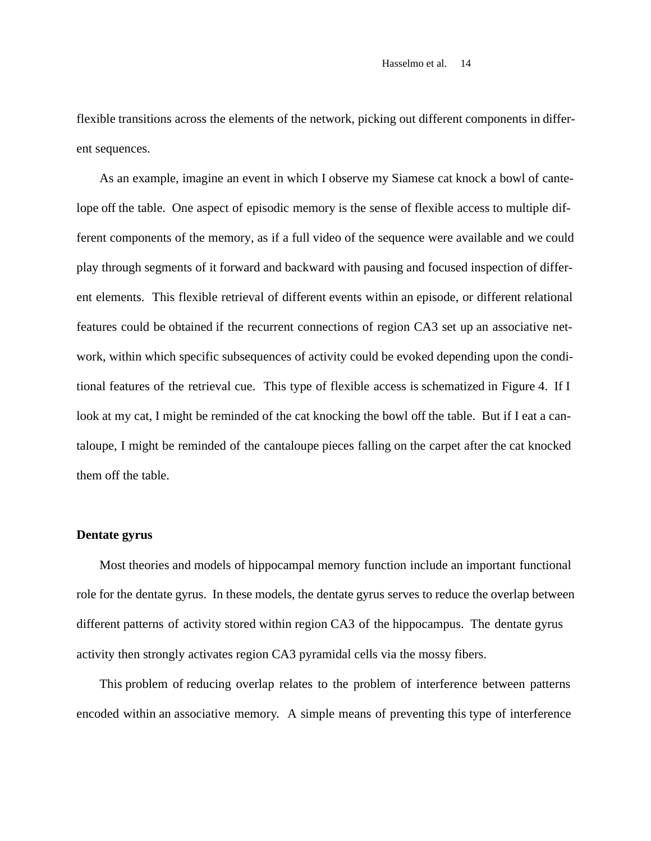flexible transitions across the elements of the network, picking out different components in different sequences.

As an example, imagine an event in which I observe my Siamese cat knock a bowl of cantelope off the table. One aspect of episodic memory is the sense of flexible access to multiple different components of the memory, as if a full video of the sequence were available and we could play through segments of it forward and backward with pausing and focused inspection of different elements. This flexible retrieval of different events within an episode, or different relational features could be obtained if the recurrent connections of region CA3 set up an associative network, within which specific subsequences of activity could be evoked depending upon the conditional features of the retrieval cue. This type of flexible access is schematized in Figure 4. If I look at my cat, I might be reminded of the cat knocking the bowl off the table. But if I eat a cantaloupe, I might be reminded of the cantaloupe pieces falling on the carpet after the cat knocked them off the table.

# **Dentate gyrus**

Most theories and models of hippocampal memory function include an important functional role for the dentate gyrus. In these models, the dentate gyrus serves to reduce the overlap between different patterns of activity stored within region CA3 of the hippocampus. The dentate gyrus activity then strongly activates region CA3 pyramidal cells via the mossy fibers.

This problem of reducing overlap relates to the problem of interference between patterns encoded within an associative memory. A simple means of preventing this type of interference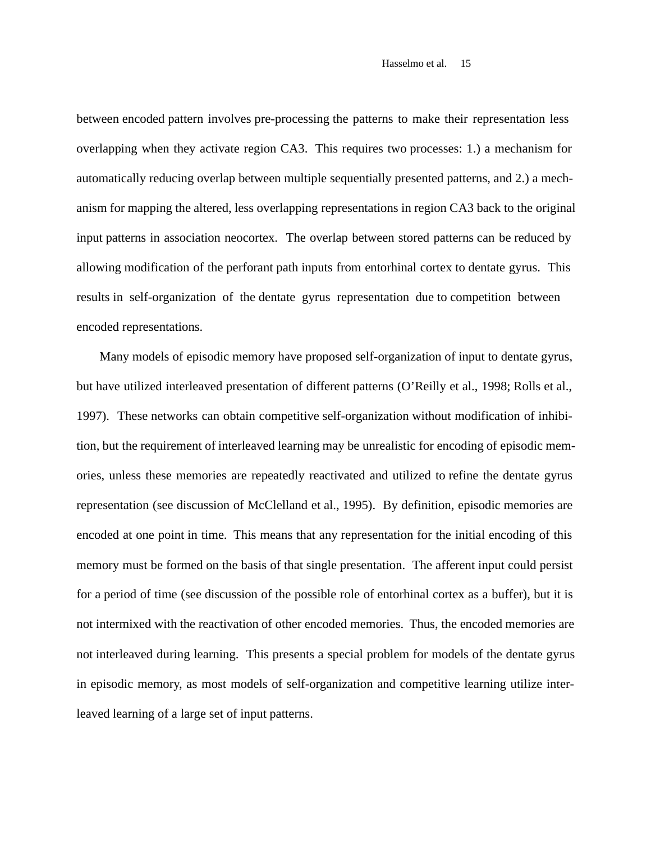between encoded pattern involves pre-processing the patterns to make their representation less overlapping when they activate region CA3. This requires two processes: 1.) a mechanism for automatically reducing overlap between multiple sequentially presented patterns, and 2.) a mechanism for mapping the altered, less overlapping representations in region CA3 back to the original input patterns in association neocortex. The overlap between stored patterns can be reduced by allowing modification of the perforant path inputs from entorhinal cortex to dentate gyrus. This results in self-organization of the dentate gyrus representation due to competition between encoded representations.

Many models of episodic memory have proposed self-organization of input to dentate gyrus, but have utilized interleaved presentation of different patterns (O'Reilly et al., 1998; Rolls et al., 1997). These networks can obtain competitive self-organization without modification of inhibition, but the requirement of interleaved learning may be unrealistic for encoding of episodic memories, unless these memories are repeatedly reactivated and utilized to refine the dentate gyrus representation (see discussion of McClelland et al., 1995). By definition, episodic memories are encoded at one point in time. This means that any representation for the initial encoding of this memory must be formed on the basis of that single presentation. The afferent input could persist for a period of time (see discussion of the possible role of entorhinal cortex as a buffer), but it is not intermixed with the reactivation of other encoded memories. Thus, the encoded memories are not interleaved during learning. This presents a special problem for models of the dentate gyrus in episodic memory, as most models of self-organization and competitive learning utilize interleaved learning of a large set of input patterns.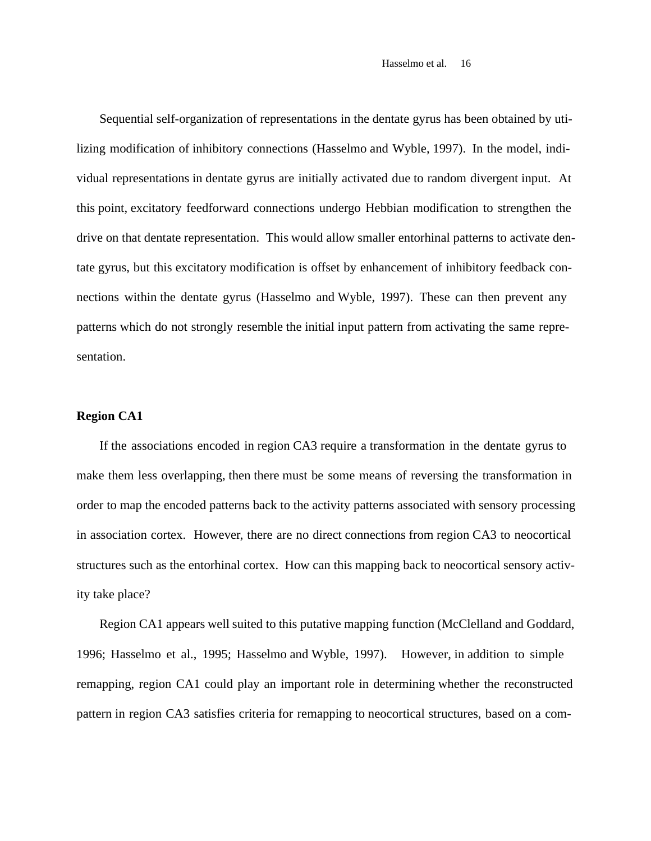Sequential self-organization of representations in the dentate gyrus has been obtained by utilizing modification of inhibitory connections (Hasselmo and Wyble, 1997). In the model, individual representations in dentate gyrus are initially activated due to random divergent input. At this point, excitatory feedforward connections undergo Hebbian modification to strengthen the drive on that dentate representation. This would allow smaller entorhinal patterns to activate dentate gyrus, but this excitatory modification is offset by enhancement of inhibitory feedback connections within the dentate gyrus (Hasselmo and Wyble, 1997). These can then prevent any patterns which do not strongly resemble the initial input pattern from activating the same representation.

#### **Region CA1**

If the associations encoded in region CA3 require a transformation in the dentate gyrus to make them less overlapping, then there must be some means of reversing the transformation in order to map the encoded patterns back to the activity patterns associated with sensory processing in association cortex. However, there are no direct connections from region CA3 to neocortical structures such as the entorhinal cortex. How can this mapping back to neocortical sensory activity take place?

Region CA1 appears well suited to this putative mapping function (McClelland and Goddard, 1996; Hasselmo et al., 1995; Hasselmo and Wyble, 1997). However, in addition to simple remapping, region CA1 could play an important role in determining whether the reconstructed pattern in region CA3 satisfies criteria for remapping to neocortical structures, based on a com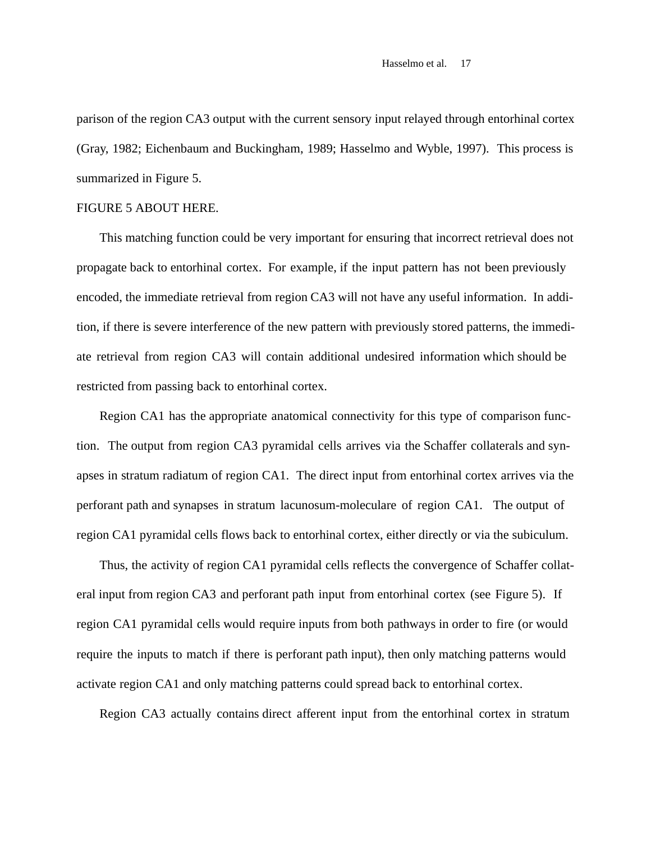parison of the region CA3 output with the current sensory input relayed through entorhinal cortex (Gray, 1982; Eichenbaum and Buckingham, 1989; Hasselmo and Wyble, 1997). This process is summarized in Figure 5.

# FIGURE 5 ABOUT HERE.

This matching function could be very important for ensuring that incorrect retrieval does not propagate back to entorhinal cortex. For example, if the input pattern has not been previously encoded, the immediate retrieval from region CA3 will not have any useful information. In addition, if there is severe interference of the new pattern with previously stored patterns, the immediate retrieval from region CA3 will contain additional undesired information which should be restricted from passing back to entorhinal cortex.

Region CA1 has the appropriate anatomical connectivity for this type of comparison function. The output from region CA3 pyramidal cells arrives via the Schaffer collaterals and synapses in stratum radiatum of region CA1. The direct input from entorhinal cortex arrives via the perforant path and synapses in stratum lacunosum-moleculare of region CA1. The output of region CA1 pyramidal cells flows back to entorhinal cortex, either directly or via the subiculum.

Thus, the activity of region CA1 pyramidal cells reflects the convergence of Schaffer collateral input from region CA3 and perforant path input from entorhinal cortex (see Figure 5). If region CA1 pyramidal cells would require inputs from both pathways in order to fire (or would require the inputs to match if there is perforant path input), then only matching patterns would activate region CA1 and only matching patterns could spread back to entorhinal cortex.

Region CA3 actually contains direct afferent input from the entorhinal cortex in stratum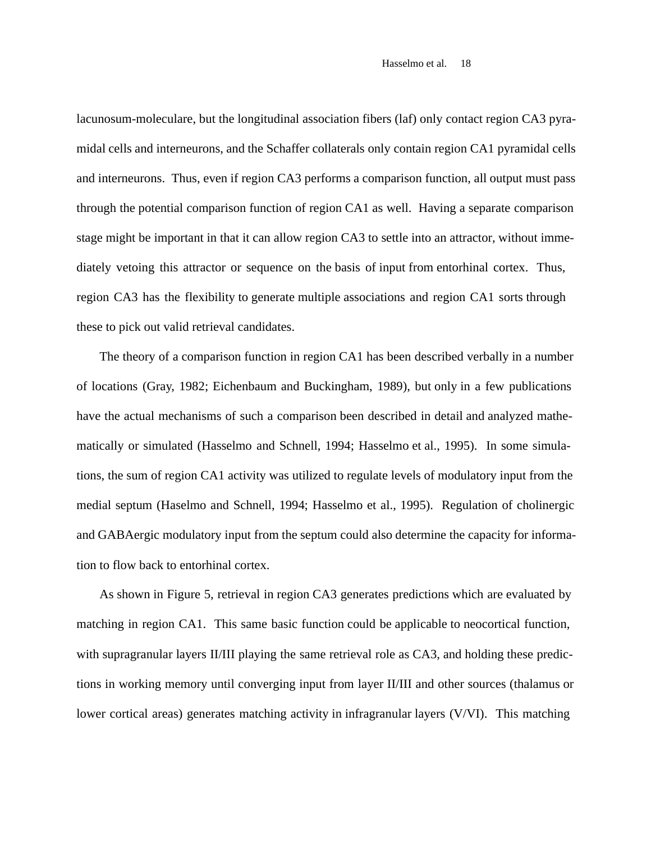lacunosum-moleculare, but the longitudinal association fibers (laf) only contact region CA3 pyramidal cells and interneurons, and the Schaffer collaterals only contain region CA1 pyramidal cells and interneurons. Thus, even if region CA3 performs a comparison function, all output must pass through the potential comparison function of region CA1 as well. Having a separate comparison stage might be important in that it can allow region CA3 to settle into an attractor, without immediately vetoing this attractor or sequence on the basis of input from entorhinal cortex. Thus, region CA3 has the flexibility to generate multiple associations and region CA1 sorts through these to pick out valid retrieval candidates.

The theory of a comparison function in region CA1 has been described verbally in a number of locations (Gray, 1982; Eichenbaum and Buckingham, 1989), but only in a few publications have the actual mechanisms of such a comparison been described in detail and analyzed mathematically or simulated (Hasselmo and Schnell, 1994; Hasselmo et al., 1995). In some simulations, the sum of region CA1 activity was utilized to regulate levels of modulatory input from the medial septum (Haselmo and Schnell, 1994; Hasselmo et al., 1995). Regulation of cholinergic and GABAergic modulatory input from the septum could also determine the capacity for information to flow back to entorhinal cortex.

As shown in Figure 5, retrieval in region CA3 generates predictions which are evaluated by matching in region CA1. This same basic function could be applicable to neocortical function, with supragranular layers II/III playing the same retrieval role as CA3, and holding these predictions in working memory until converging input from layer II/III and other sources (thalamus or lower cortical areas) generates matching activity in infragranular layers (V/VI). This matching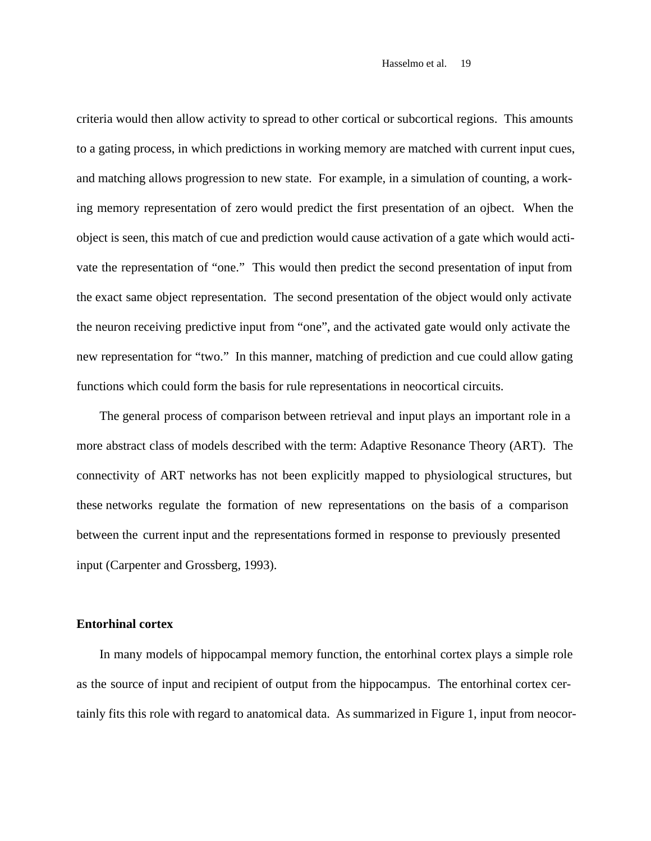criteria would then allow activity to spread to other cortical or subcortical regions. This amounts to a gating process, in which predictions in working memory are matched with current input cues, and matching allows progression to new state. For example, in a simulation of counting, a working memory representation of zero would predict the first presentation of an ojbect. When the object is seen, this match of cue and prediction would cause activation of a gate which would activate the representation of "one." This would then predict the second presentation of input from the exact same object representation. The second presentation of the object would only activate the neuron receiving predictive input from "one", and the activated gate would only activate the new representation for "two." In this manner, matching of prediction and cue could allow gating functions which could form the basis for rule representations in neocortical circuits.

The general process of comparison between retrieval and input plays an important role in a more abstract class of models described with the term: Adaptive Resonance Theory (ART). The connectivity of ART networks has not been explicitly mapped to physiological structures, but these networks regulate the formation of new representations on the basis of a comparison between the current input and the representations formed in response to previously presented input (Carpenter and Grossberg, 1993).

# **Entorhinal cortex**

In many models of hippocampal memory function, the entorhinal cortex plays a simple role as the source of input and recipient of output from the hippocampus. The entorhinal cortex certainly fits this role with regard to anatomical data. As summarized in Figure 1, input from neocor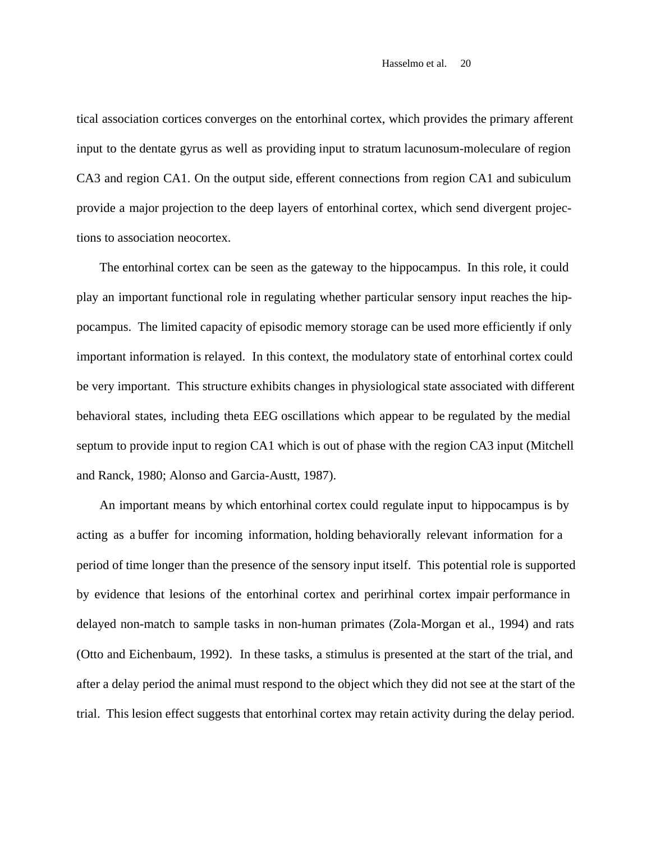tical association cortices converges on the entorhinal cortex, which provides the primary afferent input to the dentate gyrus as well as providing input to stratum lacunosum-moleculare of region CA3 and region CA1. On the output side, efferent connections from region CA1 and subiculum provide a major projection to the deep layers of entorhinal cortex, which send divergent projections to association neocortex.

The entorhinal cortex can be seen as the gateway to the hippocampus. In this role, it could play an important functional role in regulating whether particular sensory input reaches the hippocampus. The limited capacity of episodic memory storage can be used more efficiently if only important information is relayed. In this context, the modulatory state of entorhinal cortex could be very important. This structure exhibits changes in physiological state associated with different behavioral states, including theta EEG oscillations which appear to be regulated by the medial septum to provide input to region CA1 which is out of phase with the region CA3 input (Mitchell and Ranck, 1980; Alonso and Garcia-Austt, 1987).

An important means by which entorhinal cortex could regulate input to hippocampus is by acting as a buffer for incoming information, holding behaviorally relevant information for a period of time longer than the presence of the sensory input itself. This potential role is supported by evidence that lesions of the entorhinal cortex and perirhinal cortex impair performance in delayed non-match to sample tasks in non-human primates (Zola-Morgan et al., 1994) and rats (Otto and Eichenbaum, 1992). In these tasks, a stimulus is presented at the start of the trial, and after a delay period the animal must respond to the object which they did not see at the start of the trial. This lesion effect suggests that entorhinal cortex may retain activity during the delay period.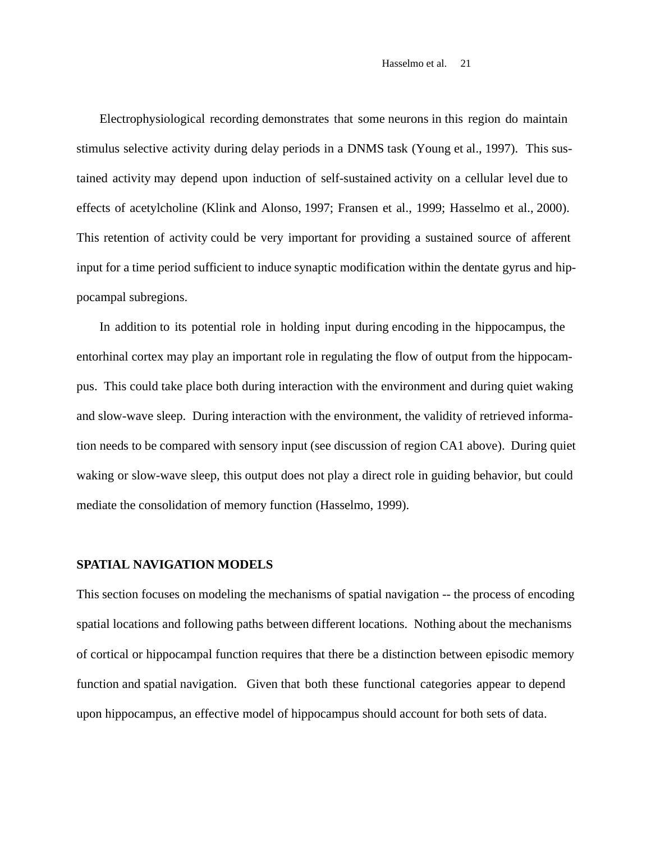Electrophysiological recording demonstrates that some neurons in this region do maintain stimulus selective activity during delay periods in a DNMS task (Young et al., 1997). This sustained activity may depend upon induction of self-sustained activity on a cellular level due to effects of acetylcholine (Klink and Alonso, 1997; Fransen et al., 1999; Hasselmo et al., 2000). This retention of activity could be very important for providing a sustained source of afferent input for a time period sufficient to induce synaptic modification within the dentate gyrus and hippocampal subregions.

In addition to its potential role in holding input during encoding in the hippocampus, the entorhinal cortex may play an important role in regulating the flow of output from the hippocampus. This could take place both during interaction with the environment and during quiet waking and slow-wave sleep. During interaction with the environment, the validity of retrieved information needs to be compared with sensory input (see discussion of region CA1 above). During quiet waking or slow-wave sleep, this output does not play a direct role in guiding behavior, but could mediate the consolidation of memory function (Hasselmo, 1999).

#### **SPATIAL NAVIGATION MODELS**

This section focuses on modeling the mechanisms of spatial navigation -- the process of encoding spatial locations and following paths between different locations. Nothing about the mechanisms of cortical or hippocampal function requires that there be a distinction between episodic memory function and spatial navigation. Given that both these functional categories appear to depend upon hippocampus, an effective model of hippocampus should account for both sets of data.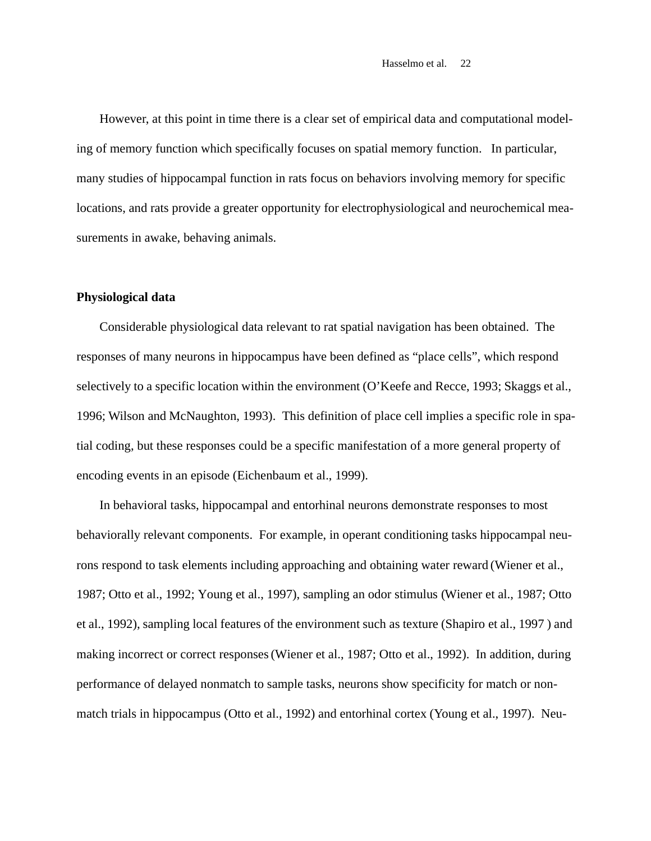However, at this point in time there is a clear set of empirical data and computational modeling of memory function which specifically focuses on spatial memory function. In particular, many studies of hippocampal function in rats focus on behaviors involving memory for specific locations, and rats provide a greater opportunity for electrophysiological and neurochemical measurements in awake, behaving animals.

# **Physiological data**

Considerable physiological data relevant to rat spatial navigation has been obtained. The responses of many neurons in hippocampus have been defined as "place cells", which respond selectively to a specific location within the environment (O'Keefe and Recce, 1993; Skaggs et al., 1996; Wilson and McNaughton, 1993). This definition of place cell implies a specific role in spatial coding, but these responses could be a specific manifestation of a more general property of encoding events in an episode (Eichenbaum et al., 1999).

In behavioral tasks, hippocampal and entorhinal neurons demonstrate responses to most behaviorally relevant components. For example, in operant conditioning tasks hippocampal neurons respond to task elements including approaching and obtaining water reward (Wiener et al., 1987; Otto et al., 1992; Young et al., 1997), sampling an odor stimulus (Wiener et al., 1987; Otto et al., 1992), sampling local features of the environment such as texture (Shapiro et al., 1997 ) and making incorrect or correct responses (Wiener et al., 1987; Otto et al., 1992). In addition, during performance of delayed nonmatch to sample tasks, neurons show specificity for match or nonmatch trials in hippocampus (Otto et al., 1992) and entorhinal cortex (Young et al., 1997). Neu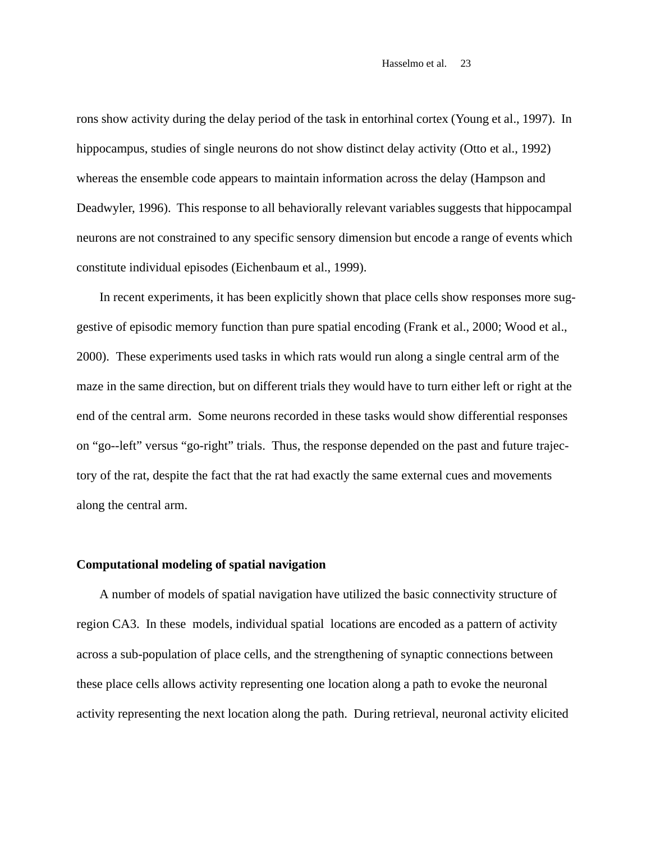rons show activity during the delay period of the task in entorhinal cortex (Young et al., 1997). In hippocampus, studies of single neurons do not show distinct delay activity (Otto et al., 1992) whereas the ensemble code appears to maintain information across the delay (Hampson and Deadwyler, 1996). This response to all behaviorally relevant variables suggests that hippocampal neurons are not constrained to any specific sensory dimension but encode a range of events which constitute individual episodes (Eichenbaum et al., 1999).

In recent experiments, it has been explicitly shown that place cells show responses more suggestive of episodic memory function than pure spatial encoding (Frank et al., 2000; Wood et al., 2000). These experiments used tasks in which rats would run along a single central arm of the maze in the same direction, but on different trials they would have to turn either left or right at the end of the central arm. Some neurons recorded in these tasks would show differential responses on "go--left" versus "go-right" trials. Thus, the response depended on the past and future trajectory of the rat, despite the fact that the rat had exactly the same external cues and movements along the central arm.

#### **Computational modeling of spatial navigation**

A number of models of spatial navigation have utilized the basic connectivity structure of region CA3. In these models, individual spatial locations are encoded as a pattern of activity across a sub-population of place cells, and the strengthening of synaptic connections between these place cells allows activity representing one location along a path to evoke the neuronal activity representing the next location along the path. During retrieval, neuronal activity elicited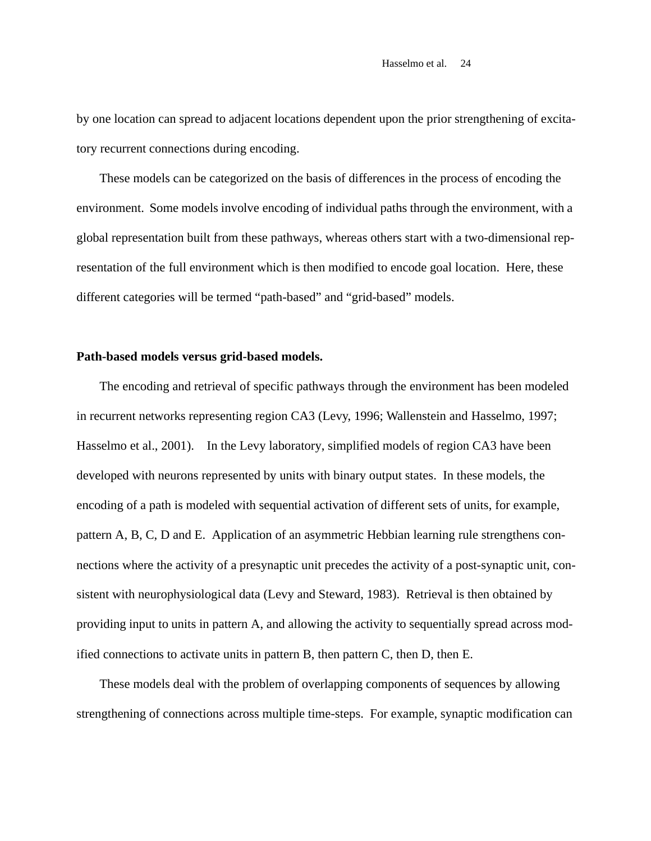by one location can spread to adjacent locations dependent upon the prior strengthening of excitatory recurrent connections during encoding.

These models can be categorized on the basis of differences in the process of encoding the environment. Some models involve encoding of individual paths through the environment, with a global representation built from these pathways, whereas others start with a two-dimensional representation of the full environment which is then modified to encode goal location. Here, these different categories will be termed "path-based" and "grid-based" models.

# **Path-based models versus grid-based models.**

The encoding and retrieval of specific pathways through the environment has been modeled in recurrent networks representing region CA3 (Levy, 1996; Wallenstein and Hasselmo, 1997; Hasselmo et al., 2001). In the Levy laboratory, simplified models of region CA3 have been developed with neurons represented by units with binary output states. In these models, the encoding of a path is modeled with sequential activation of different sets of units, for example, pattern A, B, C, D and E. Application of an asymmetric Hebbian learning rule strengthens connections where the activity of a presynaptic unit precedes the activity of a post-synaptic unit, consistent with neurophysiological data (Levy and Steward, 1983). Retrieval is then obtained by providing input to units in pattern A, and allowing the activity to sequentially spread across modified connections to activate units in pattern B, then pattern C, then D, then E.

These models deal with the problem of overlapping components of sequences by allowing strengthening of connections across multiple time-steps. For example, synaptic modification can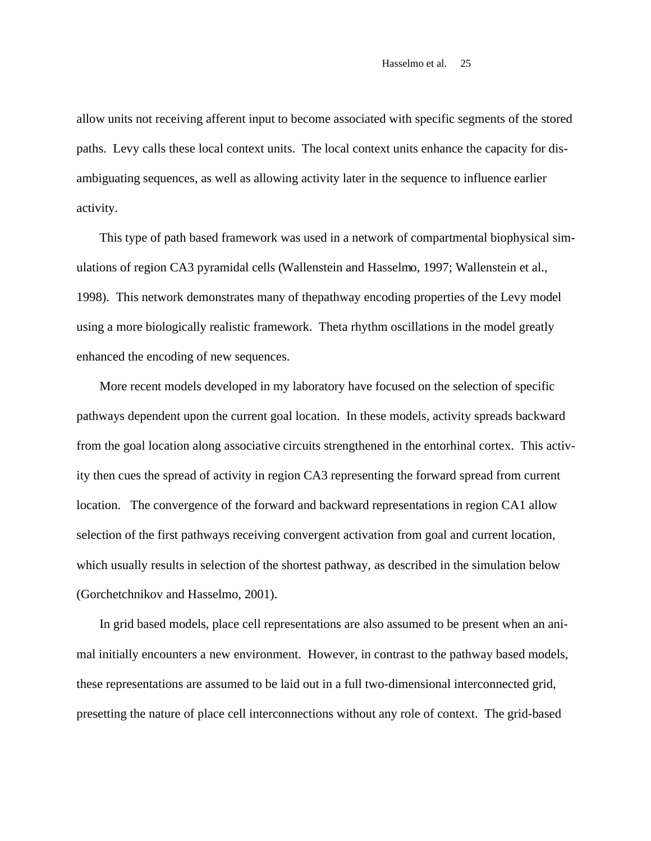allow units not receiving afferent input to become associated with specific segments of the stored paths. Levy calls these local context units. The local context units enhance the capacity for disambiguating sequences, as well as allowing activity later in the sequence to influence earlier activity.

This type of path based framework was used in a network of compartmental biophysical simulations of region CA3 pyramidal cells (Wallenstein and Hasselmo, 1997; Wallenstein et al., 1998). This network demonstrates many of thepathway encoding properties of the Levy model using a more biologically realistic framework. Theta rhythm oscillations in the model greatly enhanced the encoding of new sequences.

More recent models developed in my laboratory have focused on the selection of specific pathways dependent upon the current goal location. In these models, activity spreads backward from the goal location along associative circuits strengthened in the entorhinal cortex. This activity then cues the spread of activity in region CA3 representing the forward spread from current location. The convergence of the forward and backward representations in region CA1 allow selection of the first pathways receiving convergent activation from goal and current location, which usually results in selection of the shortest pathway, as described in the simulation below (Gorchetchnikov and Hasselmo, 2001).

In grid based models, place cell representations are also assumed to be present when an animal initially encounters a new environment. However, in contrast to the pathway based models, these representations are assumed to be laid out in a full two-dimensional interconnected grid, presetting the nature of place cell interconnections without any role of context. The grid-based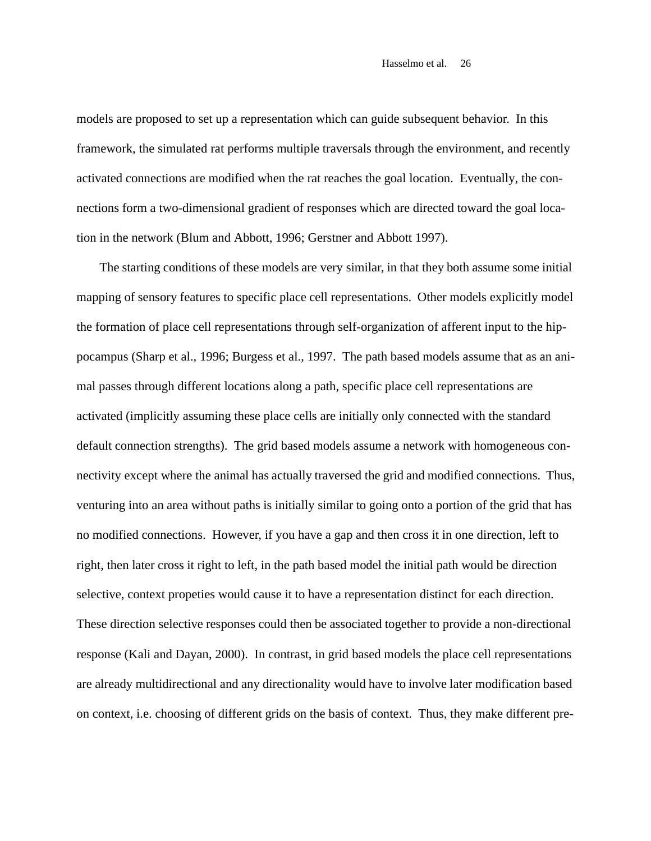models are proposed to set up a representation which can guide subsequent behavior. In this framework, the simulated rat performs multiple traversals through the environment, and recently activated connections are modified when the rat reaches the goal location. Eventually, the connections form a two-dimensional gradient of responses which are directed toward the goal location in the network (Blum and Abbott, 1996; Gerstner and Abbott 1997).

The starting conditions of these models are very similar, in that they both assume some initial mapping of sensory features to specific place cell representations. Other models explicitly model the formation of place cell representations through self-organization of afferent input to the hippocampus (Sharp et al., 1996; Burgess et al., 1997. The path based models assume that as an animal passes through different locations along a path, specific place cell representations are activated (implicitly assuming these place cells are initially only connected with the standard default connection strengths). The grid based models assume a network with homogeneous connectivity except where the animal has actually traversed the grid and modified connections. Thus, venturing into an area without paths is initially similar to going onto a portion of the grid that has no modified connections. However, if you have a gap and then cross it in one direction, left to right, then later cross it right to left, in the path based model the initial path would be direction selective, context propeties would cause it to have a representation distinct for each direction. These direction selective responses could then be associated together to provide a non-directional response (Kali and Dayan, 2000). In contrast, in grid based models the place cell representations are already multidirectional and any directionality would have to involve later modification based on context, i.e. choosing of different grids on the basis of context. Thus, they make different pre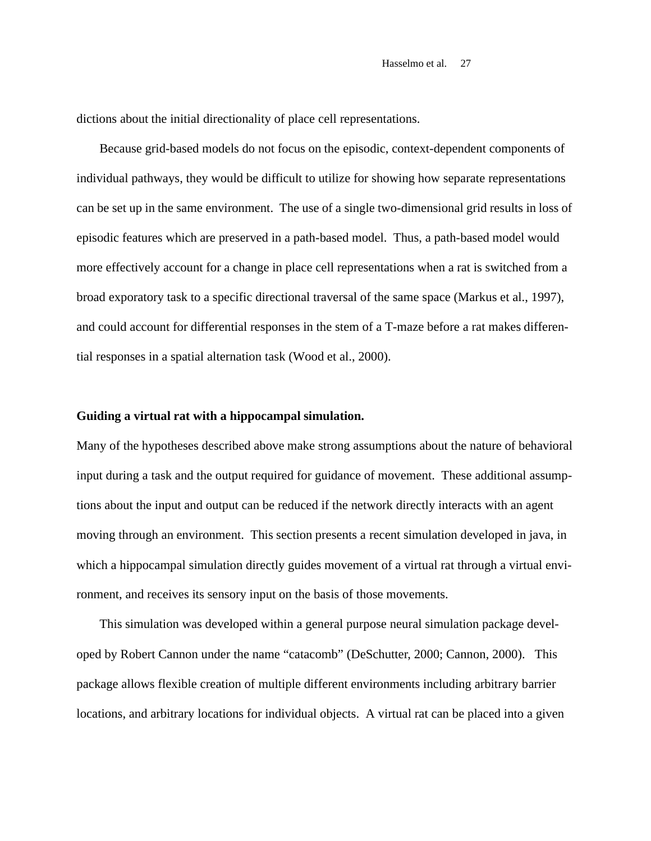dictions about the initial directionality of place cell representations.

Because grid-based models do not focus on the episodic, context-dependent components of individual pathways, they would be difficult to utilize for showing how separate representations can be set up in the same environment. The use of a single two-dimensional grid results in loss of episodic features which are preserved in a path-based model. Thus, a path-based model would more effectively account for a change in place cell representations when a rat is switched from a broad exporatory task to a specific directional traversal of the same space (Markus et al., 1997), and could account for differential responses in the stem of a T-maze before a rat makes differential responses in a spatial alternation task (Wood et al., 2000).

#### **Guiding a virtual rat with a hippocampal simulation.**

Many of the hypotheses described above make strong assumptions about the nature of behavioral input during a task and the output required for guidance of movement. These additional assumptions about the input and output can be reduced if the network directly interacts with an agent moving through an environment. This section presents a recent simulation developed in java, in which a hippocampal simulation directly guides movement of a virtual rat through a virtual environment, and receives its sensory input on the basis of those movements.

This simulation was developed within a general purpose neural simulation package developed by Robert Cannon under the name "catacomb" (DeSchutter, 2000; Cannon, 2000). This package allows flexible creation of multiple different environments including arbitrary barrier locations, and arbitrary locations for individual objects. A virtual rat can be placed into a given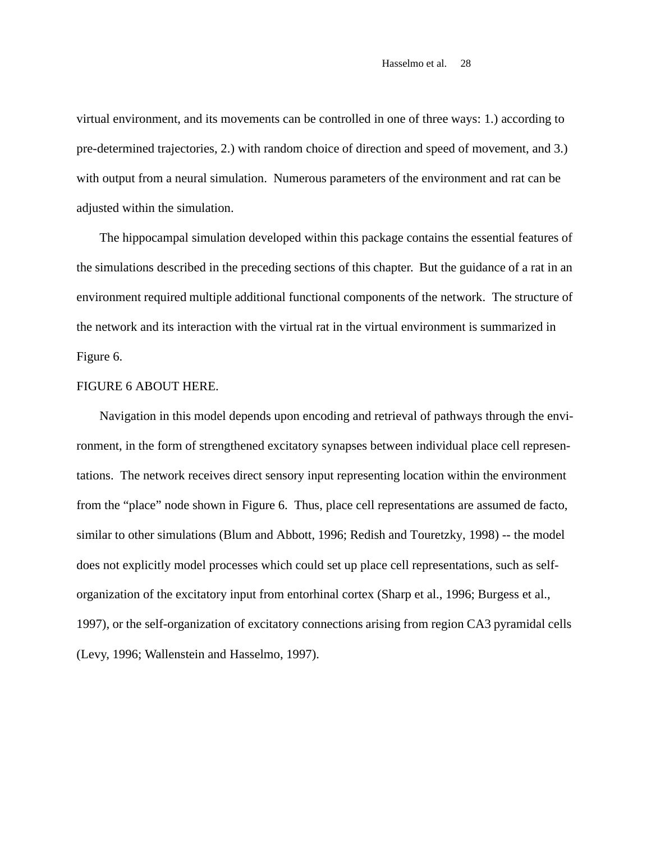virtual environment, and its movements can be controlled in one of three ways: 1.) according to pre-determined trajectories, 2.) with random choice of direction and speed of movement, and 3.) with output from a neural simulation. Numerous parameters of the environment and rat can be adjusted within the simulation.

The hippocampal simulation developed within this package contains the essential features of the simulations described in the preceding sections of this chapter. But the guidance of a rat in an environment required multiple additional functional components of the network. The structure of the network and its interaction with the virtual rat in the virtual environment is summarized in Figure 6.

# FIGURE 6 ABOUT HERE.

Navigation in this model depends upon encoding and retrieval of pathways through the environment, in the form of strengthened excitatory synapses between individual place cell representations. The network receives direct sensory input representing location within the environment from the "place" node shown in Figure 6. Thus, place cell representations are assumed de facto, similar to other simulations (Blum and Abbott, 1996; Redish and Touretzky, 1998) -- the model does not explicitly model processes which could set up place cell representations, such as selforganization of the excitatory input from entorhinal cortex (Sharp et al., 1996; Burgess et al., 1997), or the self-organization of excitatory connections arising from region CA3 pyramidal cells (Levy, 1996; Wallenstein and Hasselmo, 1997).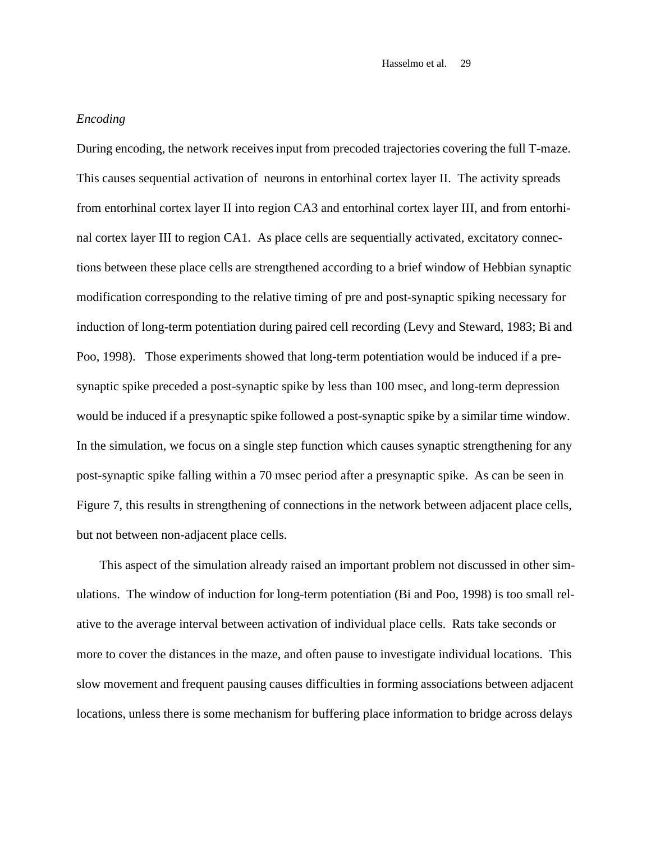# *Encoding*

During encoding, the network receives input from precoded trajectories covering the full T-maze. This causes sequential activation of neurons in entorhinal cortex layer II. The activity spreads from entorhinal cortex layer II into region CA3 and entorhinal cortex layer III, and from entorhinal cortex layer III to region CA1. As place cells are sequentially activated, excitatory connections between these place cells are strengthened according to a brief window of Hebbian synaptic modification corresponding to the relative timing of pre and post-synaptic spiking necessary for induction of long-term potentiation during paired cell recording (Levy and Steward, 1983; Bi and Poo, 1998). Those experiments showed that long-term potentiation would be induced if a presynaptic spike preceded a post-synaptic spike by less than 100 msec, and long-term depression would be induced if a presynaptic spike followed a post-synaptic spike by a similar time window. In the simulation, we focus on a single step function which causes synaptic strengthening for any post-synaptic spike falling within a 70 msec period after a presynaptic spike. As can be seen in Figure 7, this results in strengthening of connections in the network between adjacent place cells, but not between non-adjacent place cells.

This aspect of the simulation already raised an important problem not discussed in other simulations. The window of induction for long-term potentiation (Bi and Poo, 1998) is too small relative to the average interval between activation of individual place cells. Rats take seconds or more to cover the distances in the maze, and often pause to investigate individual locations. This slow movement and frequent pausing causes difficulties in forming associations between adjacent locations, unless there is some mechanism for buffering place information to bridge across delays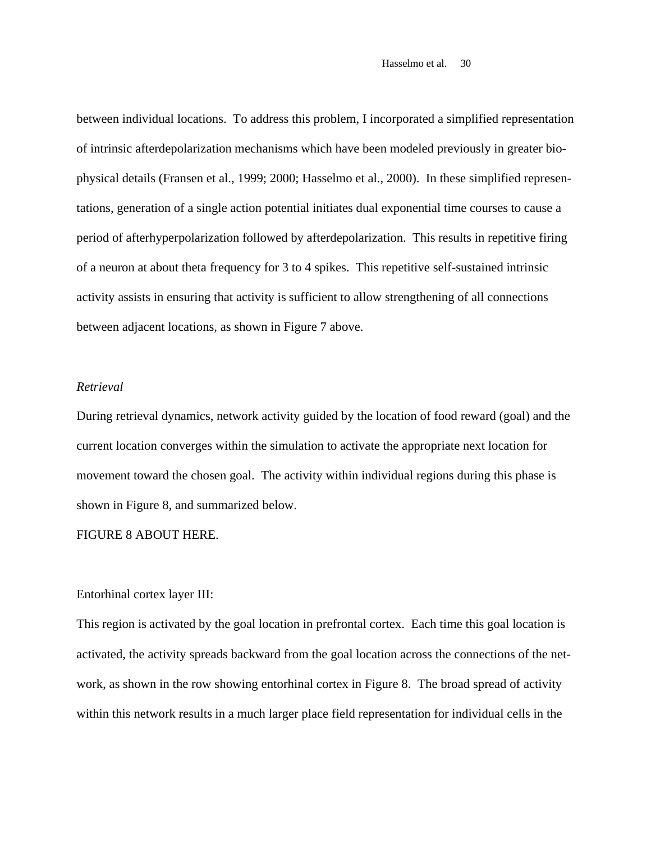between individual locations. To address this problem, I incorporated a simplified representation of intrinsic afterdepolarization mechanisms which have been modeled previously in greater biophysical details (Fransen et al., 1999; 2000; Hasselmo et al., 2000). In these simplified representations, generation of a single action potential initiates dual exponential time courses to cause a period of afterhyperpolarization followed by afterdepolarization. This results in repetitive firing of a neuron at about theta frequency for 3 to 4 spikes. This repetitive self-sustained intrinsic activity assists in ensuring that activity is sufficient to allow strengthening of all connections between adjacent locations, as shown in Figure 7 above.

### *Retrieval*

During retrieval dynamics, network activity guided by the location of food reward (goal) and the current location converges within the simulation to activate the appropriate next location for movement toward the chosen goal. The activity within individual regions during this phase is shown in Figure 8, and summarized below.

#### FIGURE 8 ABOUT HERE.

# Entorhinal cortex layer III:

This region is activated by the goal location in prefrontal cortex. Each time this goal location is activated, the activity spreads backward from the goal location across the connections of the network, as shown in the row showing entorhinal cortex in Figure 8. The broad spread of activity within this network results in a much larger place field representation for individual cells in the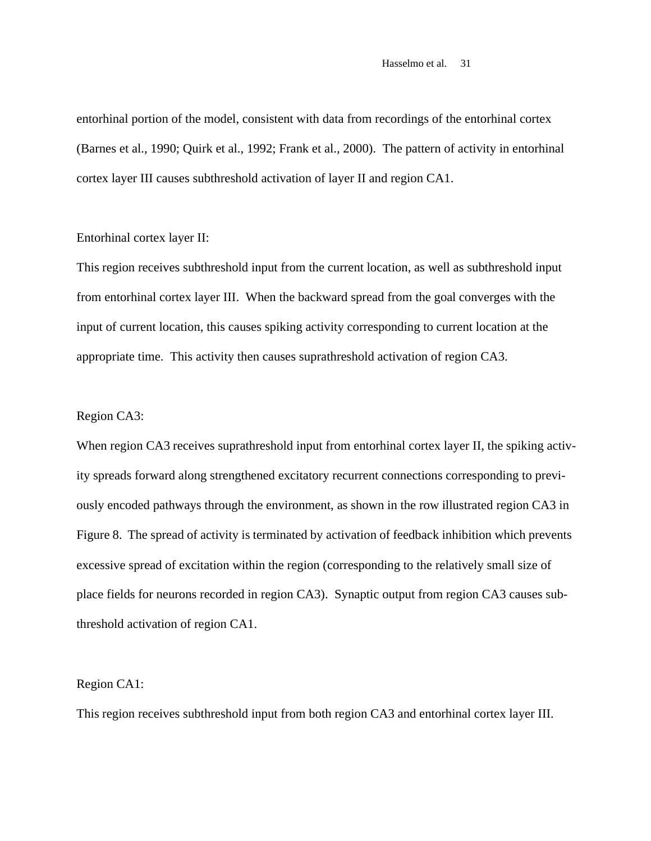entorhinal portion of the model, consistent with data from recordings of the entorhinal cortex (Barnes et al., 1990; Quirk et al., 1992; Frank et al., 2000). The pattern of activity in entorhinal cortex layer III causes subthreshold activation of layer II and region CA1.

# Entorhinal cortex layer II:

This region receives subthreshold input from the current location, as well as subthreshold input from entorhinal cortex layer III. When the backward spread from the goal converges with the input of current location, this causes spiking activity corresponding to current location at the appropriate time. This activity then causes suprathreshold activation of region CA3.

#### Region CA3:

When region CA3 receives suprathreshold input from entorhinal cortex layer II, the spiking activity spreads forward along strengthened excitatory recurrent connections corresponding to previously encoded pathways through the environment, as shown in the row illustrated region CA3 in Figure 8. The spread of activity is terminated by activation of feedback inhibition which prevents excessive spread of excitation within the region (corresponding to the relatively small size of place fields for neurons recorded in region CA3). Synaptic output from region CA3 causes subthreshold activation of region CA1.

#### Region CA1:

This region receives subthreshold input from both region CA3 and entorhinal cortex layer III.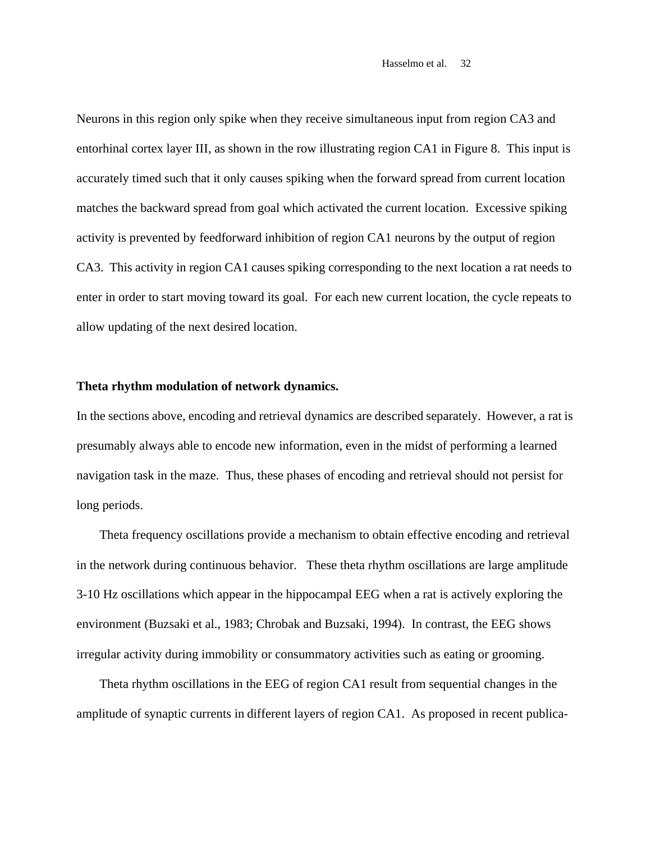Neurons in this region only spike when they receive simultaneous input from region CA3 and entorhinal cortex layer III, as shown in the row illustrating region CA1 in Figure 8. This input is accurately timed such that it only causes spiking when the forward spread from current location matches the backward spread from goal which activated the current location. Excessive spiking activity is prevented by feedforward inhibition of region CA1 neurons by the output of region CA3. This activity in region CA1 causes spiking corresponding to the next location a rat needs to enter in order to start moving toward its goal. For each new current location, the cycle repeats to allow updating of the next desired location.

#### **Theta rhythm modulation of network dynamics.**

In the sections above, encoding and retrieval dynamics are described separately. However, a rat is presumably always able to encode new information, even in the midst of performing a learned navigation task in the maze. Thus, these phases of encoding and retrieval should not persist for long periods.

Theta frequency oscillations provide a mechanism to obtain effective encoding and retrieval in the network during continuous behavior. These theta rhythm oscillations are large amplitude 3-10 Hz oscillations which appear in the hippocampal EEG when a rat is actively exploring the environment (Buzsaki et al., 1983; Chrobak and Buzsaki, 1994). In contrast, the EEG shows irregular activity during immobility or consummatory activities such as eating or grooming.

Theta rhythm oscillations in the EEG of region CA1 result from sequential changes in the amplitude of synaptic currents in different layers of region CA1. As proposed in recent publica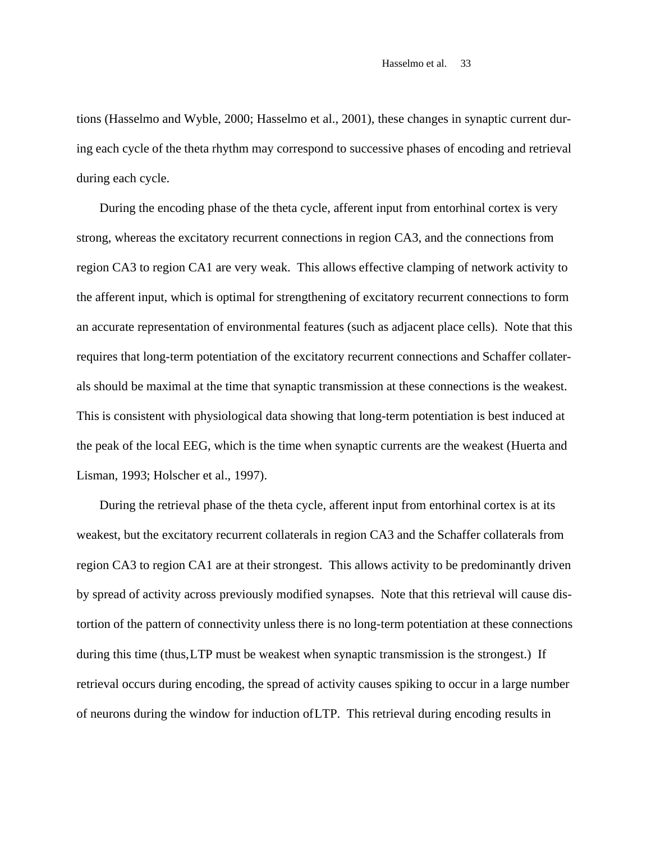tions (Hasselmo and Wyble, 2000; Hasselmo et al., 2001), these changes in synaptic current during each cycle of the theta rhythm may correspond to successive phases of encoding and retrieval during each cycle.

During the encoding phase of the theta cycle, afferent input from entorhinal cortex is very strong, whereas the excitatory recurrent connections in region CA3, and the connections from region CA3 to region CA1 are very weak. This allows effective clamping of network activity to the afferent input, which is optimal for strengthening of excitatory recurrent connections to form an accurate representation of environmental features (such as adjacent place cells). Note that this requires that long-term potentiation of the excitatory recurrent connections and Schaffer collaterals should be maximal at the time that synaptic transmission at these connections is the weakest. This is consistent with physiological data showing that long-term potentiation is best induced at the peak of the local EEG, which is the time when synaptic currents are the weakest (Huerta and Lisman, 1993; Holscher et al., 1997).

During the retrieval phase of the theta cycle, afferent input from entorhinal cortex is at its weakest, but the excitatory recurrent collaterals in region CA3 and the Schaffer collaterals from region CA3 to region CA1 are at their strongest. This allows activity to be predominantly driven by spread of activity across previously modified synapses. Note that this retrieval will cause distortion of the pattern of connectivity unless there is no long-term potentiation at these connections during this time (thus, LTP must be weakest when synaptic transmission is the strongest.) If retrieval occurs during encoding, the spread of activity causes spiking to occur in a large number of neurons during the window for induction of LTP. This retrieval during encoding results in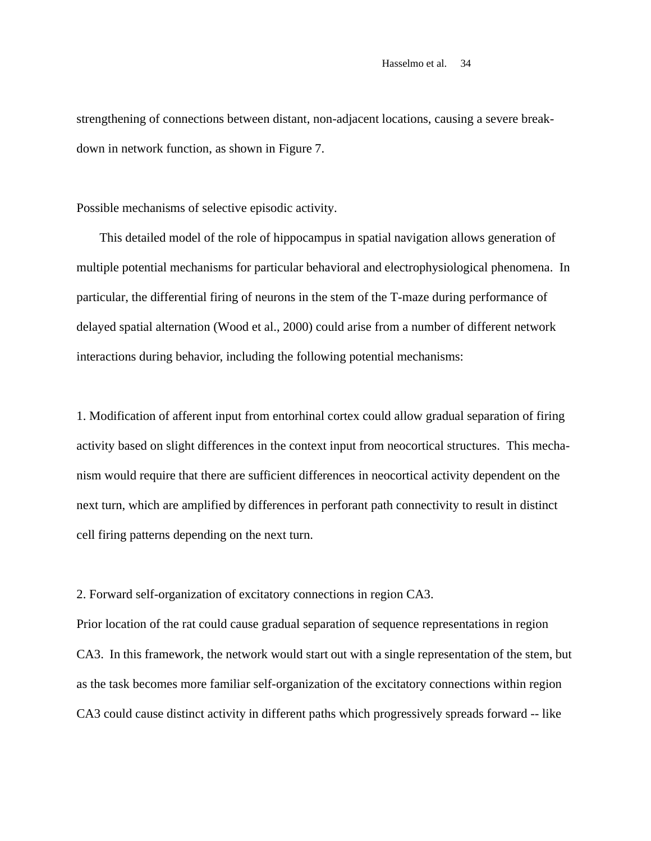strengthening of connections between distant, non-adjacent locations, causing a severe breakdown in network function, as shown in Figure 7.

Possible mechanisms of selective episodic activity.

This detailed model of the role of hippocampus in spatial navigation allows generation of multiple potential mechanisms for particular behavioral and electrophysiological phenomena. In particular, the differential firing of neurons in the stem of the T-maze during performance of delayed spatial alternation (Wood et al., 2000) could arise from a number of different network interactions during behavior, including the following potential mechanisms:

1. Modification of afferent input from entorhinal cortex could allow gradual separation of firing activity based on slight differences in the context input from neocortical structures. This mechanism would require that there are sufficient differences in neocortical activity dependent on the next turn, which are amplified by differences in perforant path connectivity to result in distinct cell firing patterns depending on the next turn.

2. Forward self-organization of excitatory connections in region CA3.

Prior location of the rat could cause gradual separation of sequence representations in region CA3. In this framework, the network would start out with a single representation of the stem, but as the task becomes more familiar self-organization of the excitatory connections within region CA3 could cause distinct activity in different paths which progressively spreads forward -- like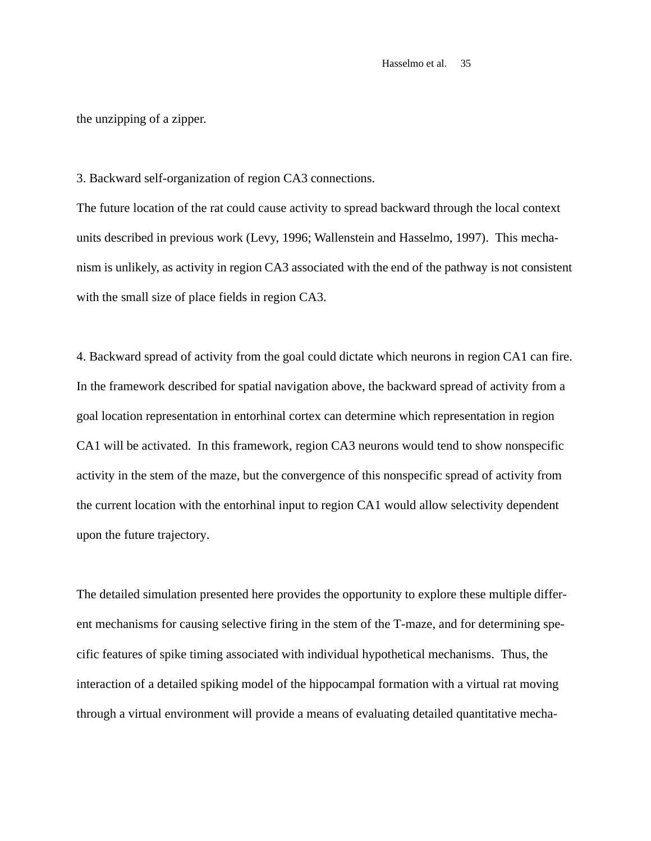the unzipping of a zipper.

3. Backward self-organization of region CA3 connections.

The future location of the rat could cause activity to spread backward through the local context units described in previous work (Levy, 1996; Wallenstein and Hasselmo, 1997). This mechanism is unlikely, as activity in region CA3 associated with the end of the pathway is not consistent with the small size of place fields in region CA3.

4. Backward spread of activity from the goal could dictate which neurons in region CA1 can fire. In the framework described for spatial navigation above, the backward spread of activity from a goal location representation in entorhinal cortex can determine which representation in region CA1 will be activated. In this framework, region CA3 neurons would tend to show nonspecific activity in the stem of the maze, but the convergence of this nonspecific spread of activity from the current location with the entorhinal input to region CA1 would allow selectivity dependent upon the future trajectory.

The detailed simulation presented here provides the opportunity to explore these multiple different mechanisms for causing selective firing in the stem of the T-maze, and for determining specific features of spike timing associated with individual hypothetical mechanisms. Thus, the interaction of a detailed spiking model of the hippocampal formation with a virtual rat moving through a virtual environment will provide a means of evaluating detailed quantitative mecha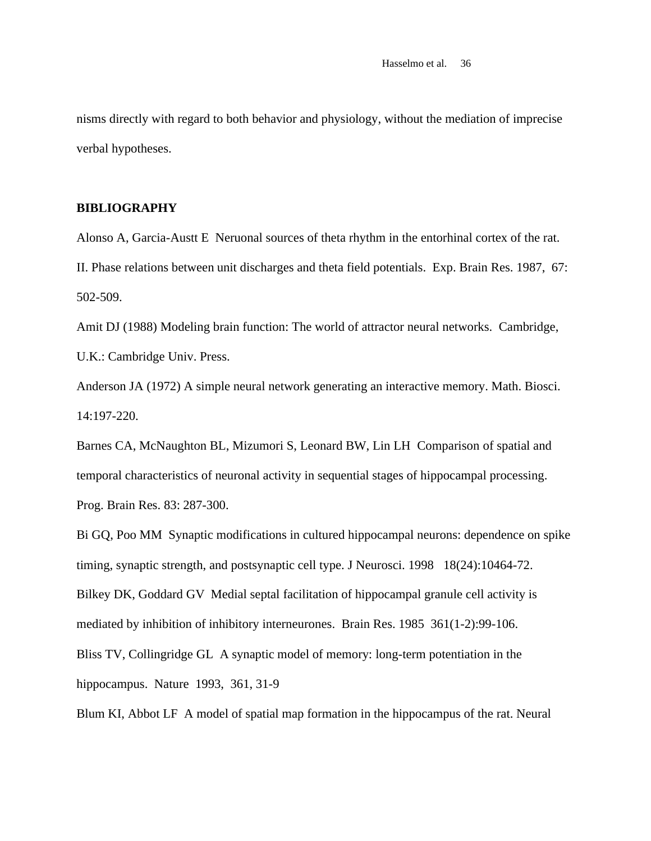nisms directly with regard to both behavior and physiology, without the mediation of imprecise verbal hypotheses.

# **BIBLIOGRAPHY**

Alonso A, Garcia-Austt E Neruonal sources of theta rhythm in the entorhinal cortex of the rat. II. Phase relations between unit discharges and theta field potentials. Exp. Brain Res. 1987, 67: 502-509.

Amit DJ (1988) Modeling brain function: The world of attractor neural networks. Cambridge, U.K.: Cambridge Univ. Press.

Anderson JA (1972) A simple neural network generating an interactive memory. Math. Biosci. 14:197-220.

Barnes CA, McNaughton BL, Mizumori S, Leonard BW, Lin LH Comparison of spatial and temporal characteristics of neuronal activity in sequential stages of hippocampal processing. Prog. Brain Res. 83: 287-300.

Bi GQ, Poo MM Synaptic modifications in cultured hippocampal neurons: dependence on spike timing, synaptic strength, and postsynaptic cell type. J Neurosci. 1998 18(24):10464-72. Bilkey DK, Goddard GV Medial septal facilitation of hippocampal granule cell activity is mediated by inhibition of inhibitory interneurones. Brain Res. 1985 361(1-2):99-106. Bliss TV, Collingridge GL A synaptic model of memory: long-term potentiation in the hippocampus. Nature 1993, 361, 31-9

Blum KI, Abbot LF A model of spatial map formation in the hippocampus of the rat. Neural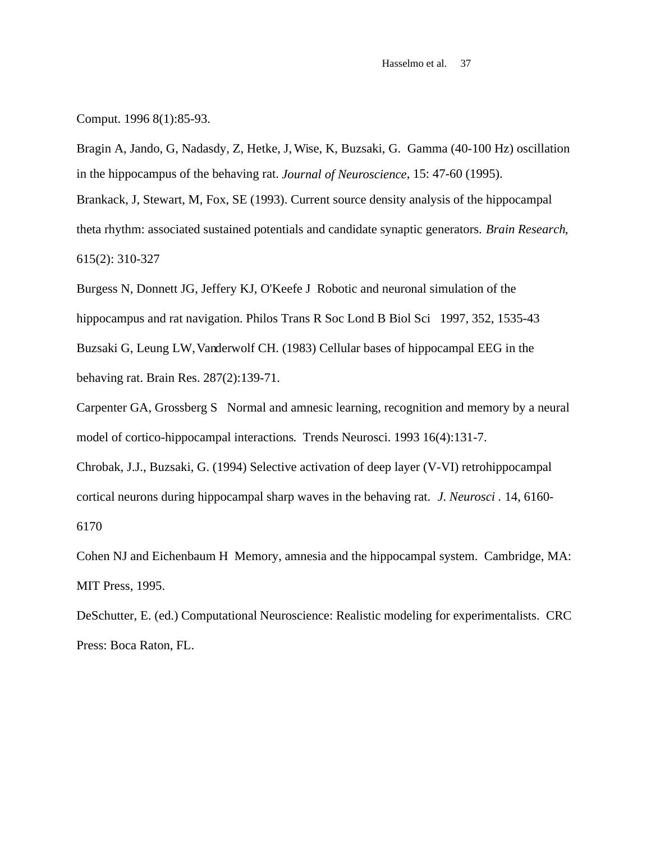Comput. 1996 8(1):85-93.

Bragin A, Jando, G, Nadasdy, Z, Hetke, J, Wise, K, Buzsaki, G. Gamma (40-100 Hz) oscillation in the hippocampus of the behaving rat. *Journal of Neuroscience*, 15: 47-60 (1995). Brankack, J, Stewart, M, Fox, SE (1993). Current source density analysis of the hippocampal theta rhythm: associated sustained potentials and candidate synaptic generators. *Brain Research*, 615(2): 310-327

Burgess N, Donnett JG, Jeffery KJ, O'Keefe J Robotic and neuronal simulation of the hippocampus and rat navigation. Philos Trans R Soc Lond B Biol Sci 1997, 352, 1535-43 Buzsaki G, Leung LW, Vanderwolf CH. (1983) Cellular bases of hippocampal EEG in the behaving rat. Brain Res. 287(2):139-71.

Carpenter GA, Grossberg S Normal and amnesic learning, recognition and memory by a neural model of cortico-hippocampal interactions. Trends Neurosci. 1993 16(4):131-7.

Chrobak, J.J., Buzsaki, G. (1994) Selective activation of deep layer (V-VI) retrohippocampal cortical neurons during hippocampal sharp waves in the behaving rat. *J. Neurosci .* 14, 6160- 6170

Cohen NJ and Eichenbaum H Memory, amnesia and the hippocampal system. Cambridge, MA: MIT Press, 1995.

DeSchutter, E. (ed.) Computational Neuroscience: Realistic modeling for experimentalists. CRC Press: Boca Raton, FL.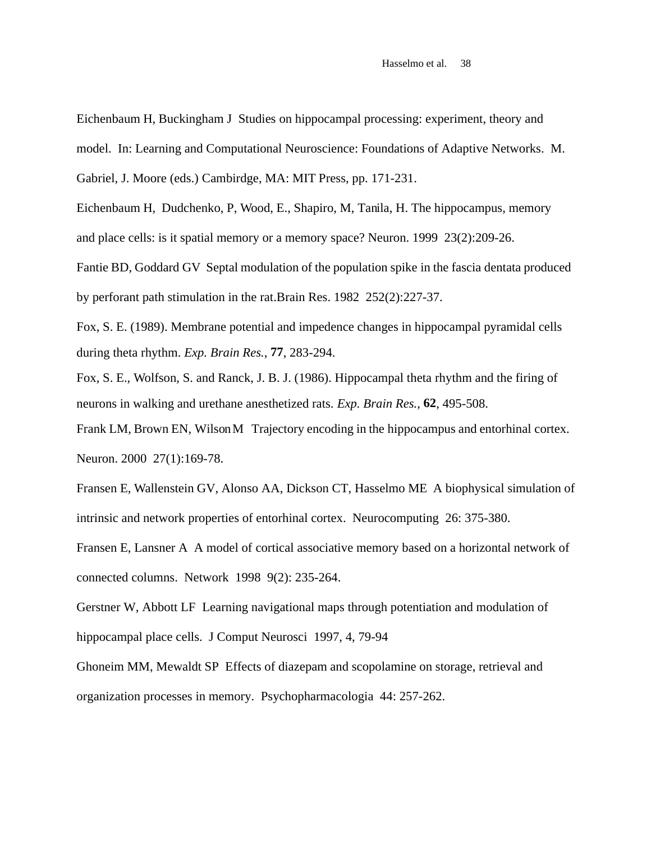Eichenbaum H, Buckingham J Studies on hippocampal processing: experiment, theory and

model. In: Learning and Computational Neuroscience: Foundations of Adaptive Networks. M.

Gabriel, J. Moore (eds.) Cambirdge, MA: MIT Press, pp. 171-231.

Eichenbaum H, Dudchenko, P, Wood, E., Shapiro, M, Tanila, H. The hippocampus, memory and place cells: is it spatial memory or a memory space? Neuron. 1999 23(2):209-26.

Fantie BD, Goddard GV Septal modulation of the population spike in the fascia dentata produced by perforant path stimulation in the rat.Brain Res. 1982 252(2):227-37.

Fox, S. E. (1989). Membrane potential and impedence changes in hippocampal pyramidal cells during theta rhythm. *Exp. Brain Res.*, **77**, 283-294.

Fox, S. E., Wolfson, S. and Ranck, J. B. J. (1986). Hippocampal theta rhythm and the firing of neurons in walking and urethane anesthetized rats. *Exp. Brain Res.*, **62**, 495-508.

Frank LM, Brown EN, Wilson M Trajectory encoding in the hippocampus and entorhinal cortex. Neuron. 2000 27(1):169-78.

Fransen E, Wallenstein GV, Alonso AA, Dickson CT, Hasselmo ME A biophysical simulation of intrinsic and network properties of entorhinal cortex. Neurocomputing 26: 375-380.

Fransen E, Lansner A A model of cortical associative memory based on a horizontal network of connected columns. Network 1998 9(2): 235-264.

Gerstner W, Abbott LF Learning navigational maps through potentiation and modulation of hippocampal place cells. J Comput Neurosci 1997, 4, 79-94

Ghoneim MM, Mewaldt SP Effects of diazepam and scopolamine on storage, retrieval and organization processes in memory. Psychopharmacologia 44: 257-262.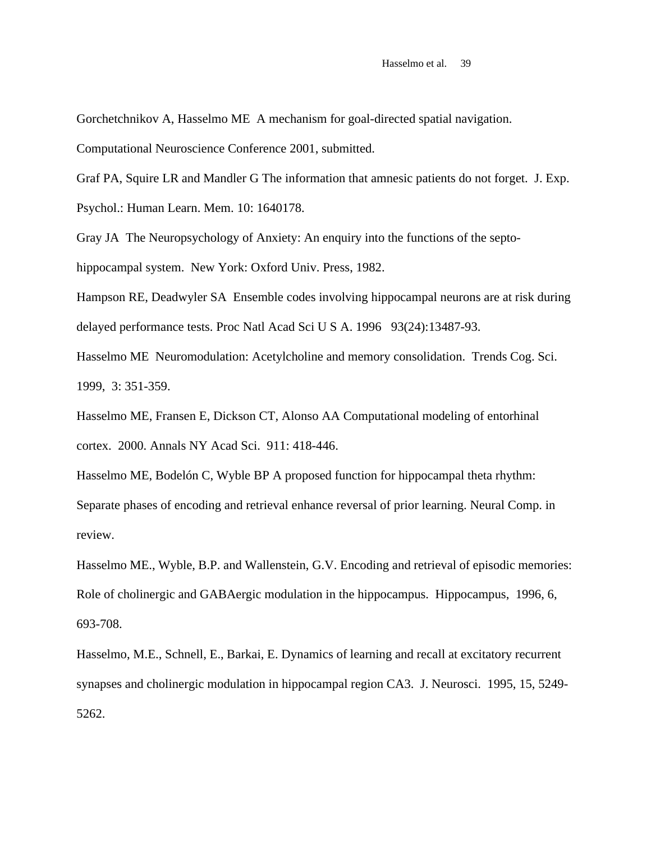Gorchetchnikov A, Hasselmo ME A mechanism for goal-directed spatial navigation.

Computational Neuroscience Conference 2001, submitted.

Graf PA, Squire LR and Mandler G The information that amnesic patients do not forget. J. Exp. Psychol.: Human Learn. Mem. 10: 1640178.

Gray JA The Neuropsychology of Anxiety: An enquiry into the functions of the septohippocampal system. New York: Oxford Univ. Press, 1982.

Hampson RE, Deadwyler SA Ensemble codes involving hippocampal neurons are at risk during delayed performance tests. Proc Natl Acad Sci U S A. 1996 93(24):13487-93.

Hasselmo ME Neuromodulation: Acetylcholine and memory consolidation. Trends Cog. Sci. 1999, 3: 351-359.

Hasselmo ME, Fransen E, Dickson CT, Alonso AA Computational modeling of entorhinal cortex. 2000. Annals NY Acad Sci. 911: 418-446.

Hasselmo ME, Bodelón C, Wyble BP A proposed function for hippocampal theta rhythm: Separate phases of encoding and retrieval enhance reversal of prior learning. Neural Comp. in review.

Hasselmo ME., Wyble, B.P. and Wallenstein, G.V. Encoding and retrieval of episodic memories: Role of cholinergic and GABAergic modulation in the hippocampus. Hippocampus, 1996, 6, 693-708.

Hasselmo, M.E., Schnell, E., Barkai, E. Dynamics of learning and recall at excitatory recurrent synapses and cholinergic modulation in hippocampal region CA3. J. Neurosci. 1995, 15, 5249- 5262.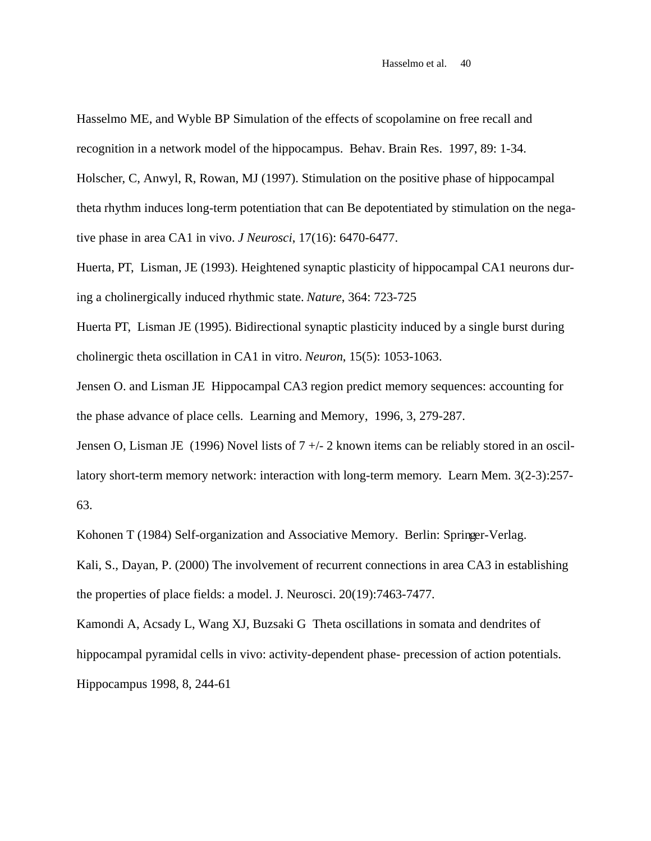Hasselmo ME, and Wyble BP Simulation of the effects of scopolamine on free recall and

recognition in a network model of the hippocampus. Behav. Brain Res. 1997, 89: 1-34.

Holscher, C, Anwyl, R, Rowan, MJ (1997). Stimulation on the positive phase of hippocampal theta rhythm induces long-term potentiation that can Be depotentiated by stimulation on the negative phase in area CA1 in vivo. *J Neurosci*, 17(16): 6470-6477.

Huerta, PT, Lisman, JE (1993). Heightened synaptic plasticity of hippocampal CA1 neurons during a cholinergically induced rhythmic state. *Nature*, 364: 723-725

Huerta PT, Lisman JE (1995). Bidirectional synaptic plasticity induced by a single burst during cholinergic theta oscillation in CA1 in vitro. *Neuron*, 15(5): 1053-1063.

Jensen O. and Lisman JE Hippocampal CA3 region predict memory sequences: accounting for the phase advance of place cells. Learning and Memory, 1996, 3, 279-287.

Jensen O, Lisman JE (1996) Novel lists of 7 +/- 2 known items can be reliably stored in an oscillatory short-term memory network: interaction with long-term memory. Learn Mem. 3(2-3):257- 63.

Kohonen T (1984) Self-organization and Associative Memory. Berlin: Springer-Verlag.

Kali, S., Dayan, P. (2000) The involvement of recurrent connections in area CA3 in establishing the properties of place fields: a model. J. Neurosci. 20(19):7463-7477.

Kamondi A, Acsady L, Wang XJ, Buzsaki G Theta oscillations in somata and dendrites of hippocampal pyramidal cells in vivo: activity-dependent phase- precession of action potentials. Hippocampus 1998, 8, 244-61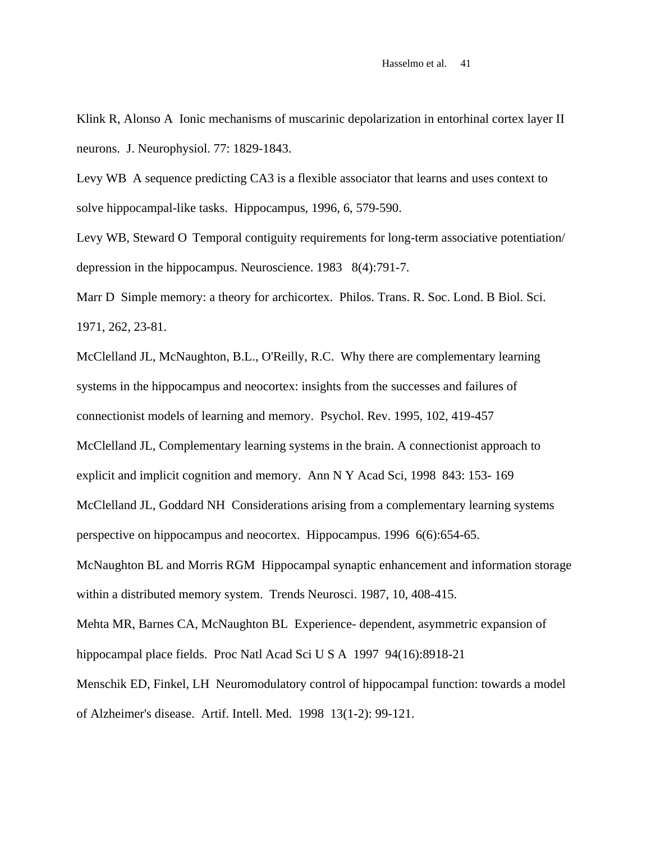Klink R, Alonso A Ionic mechanisms of muscarinic depolarization in entorhinal cortex layer II neurons. J. Neurophysiol. 77: 1829-1843.

Levy WB A sequence predicting CA3 is a flexible associator that learns and uses context to solve hippocampal-like tasks. Hippocampus, 1996, 6, 579-590.

Levy WB, Steward O Temporal contiguity requirements for long-term associative potentiation/ depression in the hippocampus. Neuroscience. 1983 8(4):791-7.

Marr D Simple memory: a theory for archicortex. Philos. Trans. R. Soc. Lond. B Biol. Sci. 1971, 262, 23-81.

McClelland JL, McNaughton, B.L., O'Reilly, R.C. Why there are complementary learning systems in the hippocampus and neocortex: insights from the successes and failures of connectionist models of learning and memory. Psychol. Rev. 1995, 102, 419-457 McClelland JL, Complementary learning systems in the brain. A connectionist approach to explicit and implicit cognition and memory. Ann N Y Acad Sci, 1998 843: 153- 169 McClelland JL, Goddard NH Considerations arising from a complementary learning systems perspective on hippocampus and neocortex. Hippocampus. 1996 6(6):654-65. McNaughton BL and Morris RGM Hippocampal synaptic enhancement and information storage within a distributed memory system. Trends Neurosci. 1987, 10, 408-415. Mehta MR, Barnes CA, McNaughton BL Experience- dependent, asymmetric expansion of hippocampal place fields. Proc Natl Acad Sci U S A 1997 94(16):8918-21 Menschik ED, Finkel, LH Neuromodulatory control of hippocampal function: towards a model of Alzheimer's disease. Artif. Intell. Med. 1998 13(1-2): 99-121.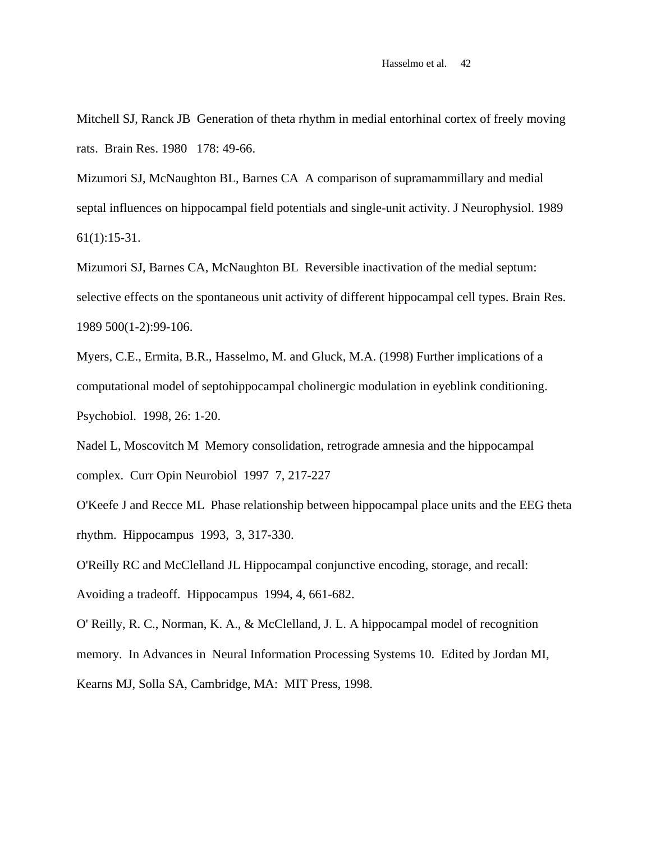Mitchell SJ, Ranck JB Generation of theta rhythm in medial entorhinal cortex of freely moving rats. Brain Res. 1980 178: 49-66.

Mizumori SJ, McNaughton BL, Barnes CA A comparison of supramammillary and medial septal influences on hippocampal field potentials and single-unit activity. J Neurophysiol. 1989 61(1):15-31.

Mizumori SJ, Barnes CA, McNaughton BL Reversible inactivation of the medial septum: selective effects on the spontaneous unit activity of different hippocampal cell types. Brain Res. 1989 500(1-2):99-106.

Myers, C.E., Ermita, B.R., Hasselmo, M. and Gluck, M.A. (1998) Further implications of a computational model of septohippocampal cholinergic modulation in eyeblink conditioning. Psychobiol. 1998, 26: 1-20.

Nadel L, Moscovitch M Memory consolidation, retrograde amnesia and the hippocampal complex. Curr Opin Neurobiol 1997 7, 217-227

O'Keefe J and Recce ML Phase relationship between hippocampal place units and the EEG theta rhythm. Hippocampus 1993, 3, 317-330.

O'Reilly RC and McClelland JL Hippocampal conjunctive encoding, storage, and recall: Avoiding a tradeoff. Hippocampus 1994, 4, 661-682.

O' Reilly, R. C., Norman, K. A., & McClelland, J. L. A hippocampal model of recognition memory. In Advances in Neural Information Processing Systems 10. Edited by Jordan MI, Kearns MJ, Solla SA, Cambridge, MA: MIT Press, 1998.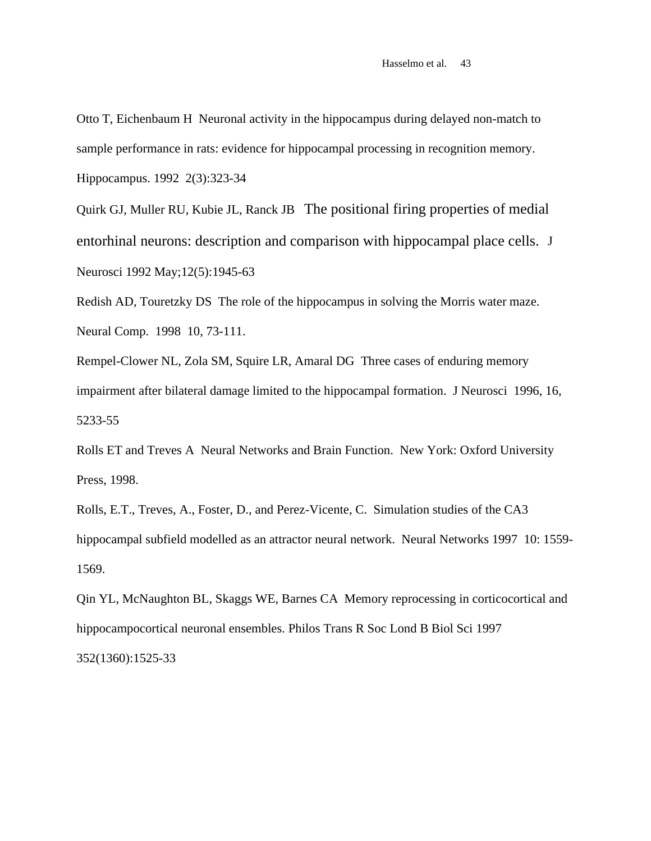Otto T, Eichenbaum H Neuronal activity in the hippocampus during delayed non-match to sample performance in rats: evidence for hippocampal processing in recognition memory. Hippocampus. 1992 2(3):323-34

Quirk GJ, Muller RU, Kubie JL, Ranck JB The positional firing properties of medial entorhinal neurons: description and comparison with hippocampal place cells. J Neurosci 1992 May;12(5):1945-63

Redish AD, Touretzky DS The role of the hippocampus in solving the Morris water maze. Neural Comp. 1998 10, 73-111.

Rempel-Clower NL, Zola SM, Squire LR, Amaral DG Three cases of enduring memory impairment after bilateral damage limited to the hippocampal formation. J Neurosci 1996, 16, 5233-55

Rolls ET and Treves A Neural Networks and Brain Function. New York: Oxford University Press, 1998.

Rolls, E.T., Treves, A., Foster, D., and Perez-Vicente, C. Simulation studies of the CA3 hippocampal subfield modelled as an attractor neural network. Neural Networks 1997 10: 1559- 1569.

Qin YL, McNaughton BL, Skaggs WE, Barnes CA Memory reprocessing in corticocortical and hippocampocortical neuronal ensembles. Philos Trans R Soc Lond B Biol Sci 1997 352(1360):1525-33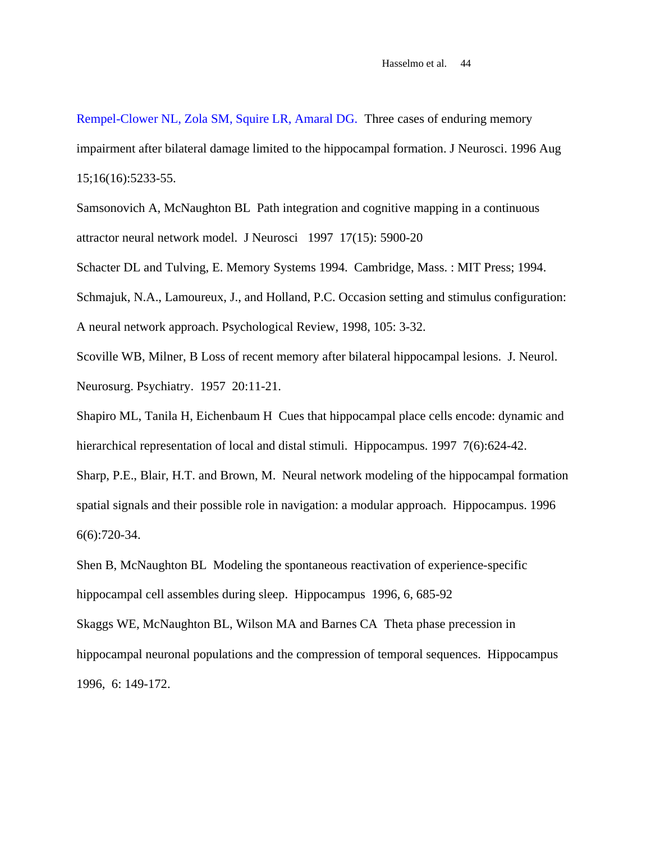Rempel-Clower NL, Zola SM, Squire LR, Amaral DG. Three cases of enduring memory impairment after bilateral damage limited to the hippocampal formation. J Neurosci. 1996 Aug 15;16(16):5233-55.

Samsonovich A, McNaughton BL Path integration and cognitive mapping in a continuous attractor neural network model. J Neurosci 1997 17(15): 5900-20

Schacter DL and Tulving, E. Memory Systems 1994. Cambridge, Mass. : MIT Press; 1994. Schmajuk, N.A., Lamoureux, J., and Holland, P.C. Occasion setting and stimulus configuration: A neural network approach. Psychological Review, 1998, 105: 3-32.

Scoville WB, Milner, B Loss of recent memory after bilateral hippocampal lesions. J. Neurol. Neurosurg. Psychiatry. 1957 20:11-21.

Shapiro ML, Tanila H, Eichenbaum H Cues that hippocampal place cells encode: dynamic and hierarchical representation of local and distal stimuli. Hippocampus. 1997 7(6):624-42.

Sharp, P.E., Blair, H.T. and Brown, M. Neural network modeling of the hippocampal formation spatial signals and their possible role in navigation: a modular approach. Hippocampus. 1996 6(6):720-34.

Shen B, McNaughton BL Modeling the spontaneous reactivation of experience-specific hippocampal cell assembles during sleep. Hippocampus 1996, 6, 685-92

Skaggs WE, McNaughton BL, Wilson MA and Barnes CA Theta phase precession in hippocampal neuronal populations and the compression of temporal sequences. Hippocampus 1996, 6: 149-172.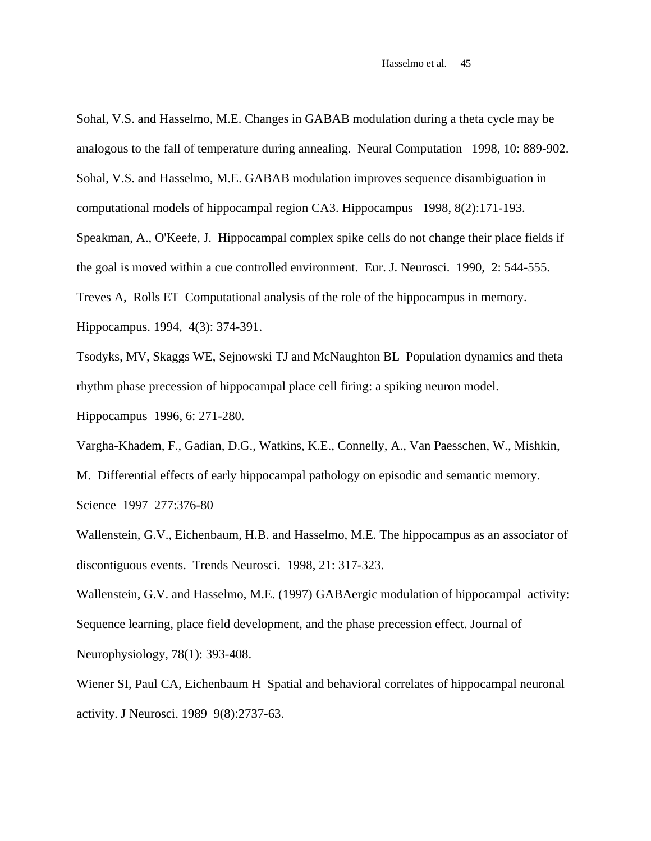Sohal, V.S. and Hasselmo, M.E. Changes in GABAB modulation during a theta cycle may be analogous to the fall of temperature during annealing. Neural Computation 1998, 10: 889-902. Sohal, V.S. and Hasselmo, M.E. GABAB modulation improves sequence disambiguation in computational models of hippocampal region CA3. Hippocampus 1998, 8(2):171-193. Speakman, A., O'Keefe, J. Hippocampal complex spike cells do not change their place fields if the goal is moved within a cue controlled environment. Eur. J. Neurosci. 1990, 2: 544-555. Treves A, Rolls ET Computational analysis of the role of the hippocampus in memory.

Hippocampus. 1994, 4(3): 374-391.

Tsodyks, MV, Skaggs WE, Sejnowski TJ and McNaughton BL Population dynamics and theta rhythm phase precession of hippocampal place cell firing: a spiking neuron model.

Hippocampus 1996, 6: 271-280.

Vargha-Khadem, F., Gadian, D.G., Watkins, K.E., Connelly, A., Van Paesschen, W., Mishkin,

M. Differential effects of early hippocampal pathology on episodic and semantic memory. Science 1997 277:376-80

Wallenstein, G.V., Eichenbaum, H.B. and Hasselmo, M.E. The hippocampus as an associator of discontiguous events. Trends Neurosci. 1998, 21: 317-323.

Wallenstein, G.V. and Hasselmo, M.E. (1997) GABAergic modulation of hippocampal activity: Sequence learning, place field development, and the phase precession effect. Journal of Neurophysiology, 78(1): 393-408.

Wiener SI, Paul CA, Eichenbaum H Spatial and behavioral correlates of hippocampal neuronal activity. J Neurosci. 1989 9(8):2737-63.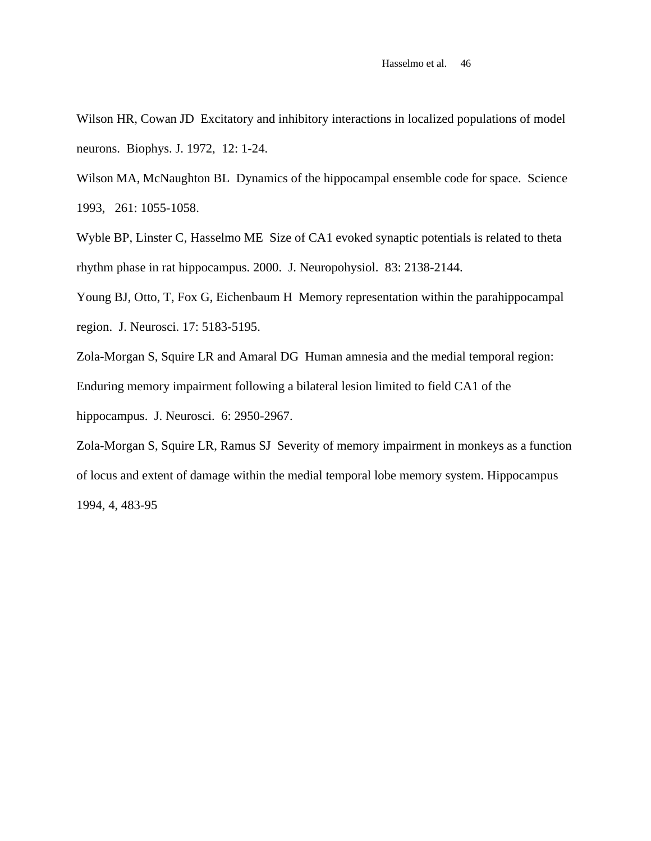Wilson HR, Cowan JD Excitatory and inhibitory interactions in localized populations of model neurons. Biophys. J. 1972, 12: 1-24.

Wilson MA, McNaughton BL Dynamics of the hippocampal ensemble code for space. Science 1993, 261: 1055-1058.

Wyble BP, Linster C, Hasselmo ME Size of CA1 evoked synaptic potentials is related to theta rhythm phase in rat hippocampus. 2000. J. Neuropohysiol. 83: 2138-2144.

Young BJ, Otto, T, Fox G, Eichenbaum H Memory representation within the parahippocampal region. J. Neurosci. 17: 5183-5195.

Zola-Morgan S, Squire LR and Amaral DG Human amnesia and the medial temporal region:

Enduring memory impairment following a bilateral lesion limited to field CA1 of the

hippocampus. J. Neurosci. 6: 2950-2967.

Zola-Morgan S, Squire LR, Ramus SJ Severity of memory impairment in monkeys as a function of locus and extent of damage within the medial temporal lobe memory system. Hippocampus 1994, 4, 483-95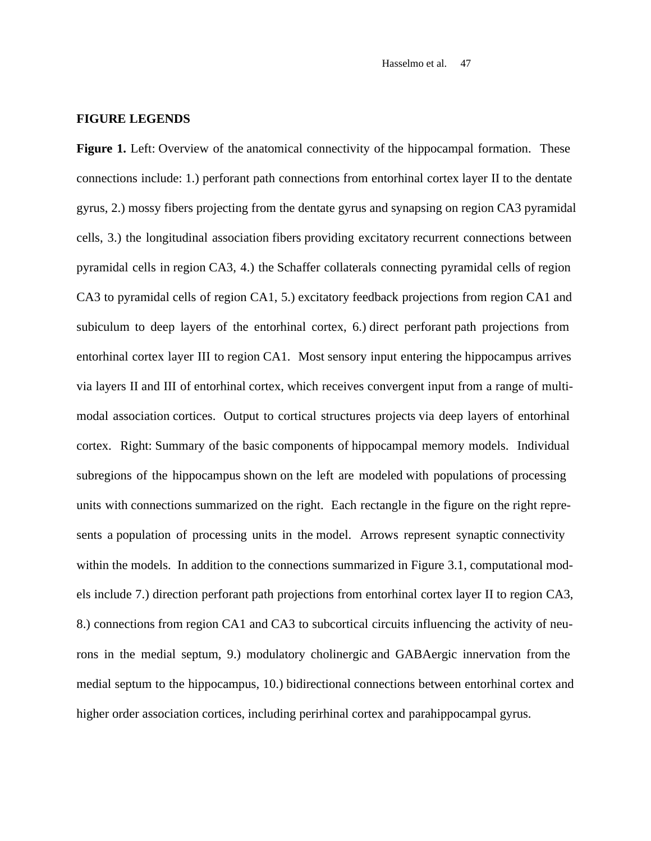#### **FIGURE LEGENDS**

**Figure 1.** Left: Overview of the anatomical connectivity of the hippocampal formation. These connections include: 1.) perforant path connections from entorhinal cortex layer II to the dentate gyrus, 2.) mossy fibers projecting from the dentate gyrus and synapsing on region CA3 pyramidal cells, 3.) the longitudinal association fibers providing excitatory recurrent connections between pyramidal cells in region CA3, 4.) the Schaffer collaterals connecting pyramidal cells of region CA3 to pyramidal cells of region CA1, 5.) excitatory feedback projections from region CA1 and subiculum to deep layers of the entorhinal cortex, 6.) direct perforant path projections from entorhinal cortex layer III to region CA1. Most sensory input entering the hippocampus arrives via layers II and III of entorhinal cortex, which receives convergent input from a range of multimodal association cortices. Output to cortical structures projects via deep layers of entorhinal cortex. Right: Summary of the basic components of hippocampal memory models. Individual subregions of the hippocampus shown on the left are modeled with populations of processing units with connections summarized on the right. Each rectangle in the figure on the right represents a population of processing units in the model. Arrows represent synaptic connectivity within the models. In addition to the connections summarized in Figure 3.1, computational models include 7.) direction perforant path projections from entorhinal cortex layer II to region CA3, 8.) connections from region CA1 and CA3 to subcortical circuits influencing the activity of neurons in the medial septum, 9.) modulatory cholinergic and GABAergic innervation from the medial septum to the hippocampus, 10.) bidirectional connections between entorhinal cortex and higher order association cortices, including perirhinal cortex and parahippocampal gyrus.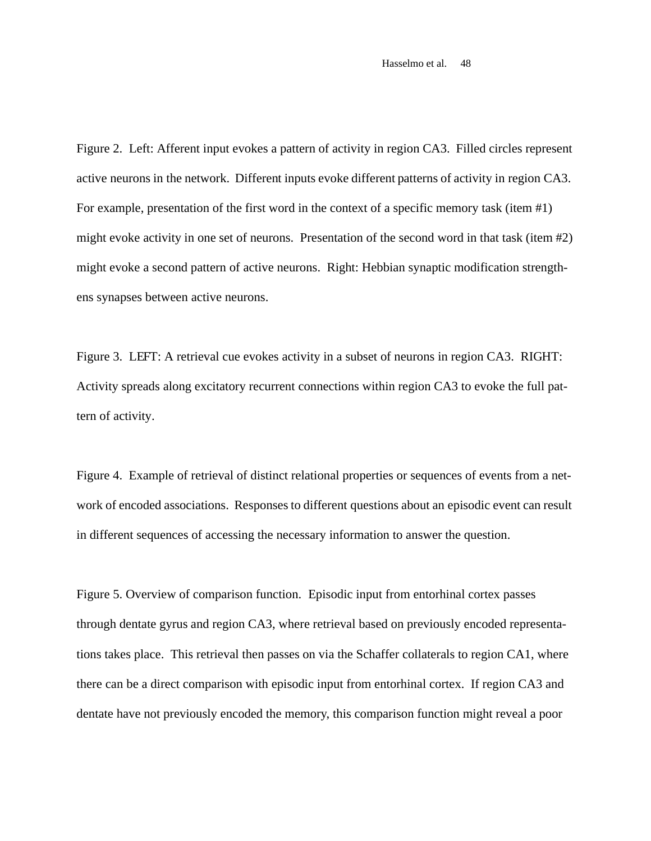Figure 2. Left: Afferent input evokes a pattern of activity in region CA3. Filled circles represent active neurons in the network. Different inputs evoke different patterns of activity in region CA3. For example, presentation of the first word in the context of a specific memory task (item #1) might evoke activity in one set of neurons. Presentation of the second word in that task (item #2) might evoke a second pattern of active neurons. Right: Hebbian synaptic modification strengthens synapses between active neurons.

Figure 3. LEFT: A retrieval cue evokes activity in a subset of neurons in region CA3. RIGHT: Activity spreads along excitatory recurrent connections within region CA3 to evoke the full pattern of activity.

Figure 4. Example of retrieval of distinct relational properties or sequences of events from a network of encoded associations. Responses to different questions about an episodic event can result in different sequences of accessing the necessary information to answer the question.

Figure 5. Overview of comparison function. Episodic input from entorhinal cortex passes through dentate gyrus and region CA3, where retrieval based on previously encoded representations takes place. This retrieval then passes on via the Schaffer collaterals to region CA1, where there can be a direct comparison with episodic input from entorhinal cortex. If region CA3 and dentate have not previously encoded the memory, this comparison function might reveal a poor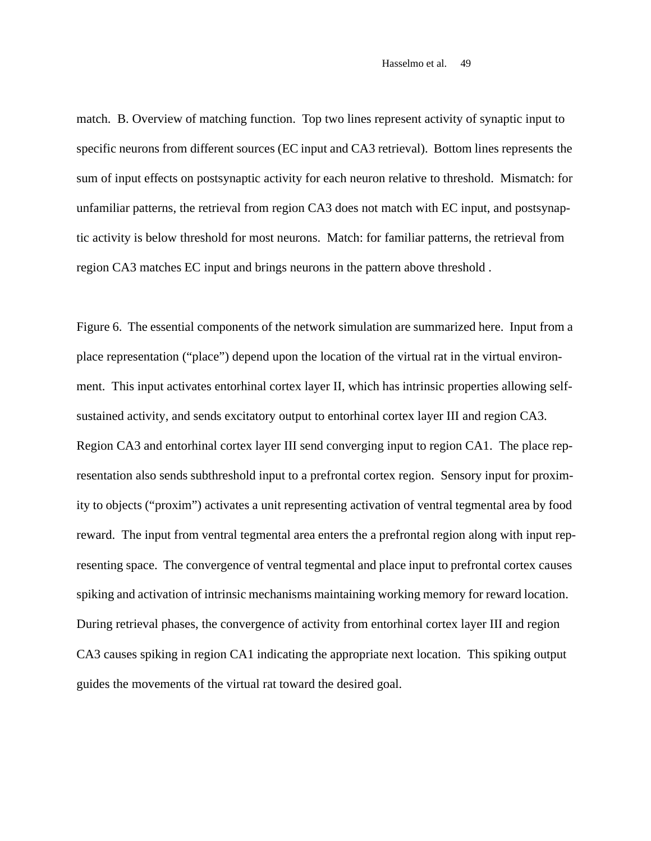match. B. Overview of matching function. Top two lines represent activity of synaptic input to specific neurons from different sources (EC input and CA3 retrieval). Bottom lines represents the sum of input effects on postsynaptic activity for each neuron relative to threshold. Mismatch: for unfamiliar patterns, the retrieval from region CA3 does not match with EC input, and postsynaptic activity is below threshold for most neurons. Match: for familiar patterns, the retrieval from region CA3 matches EC input and brings neurons in the pattern above threshold .

Figure 6. The essential components of the network simulation are summarized here. Input from a place representation ("place") depend upon the location of the virtual rat in the virtual environment. This input activates entorhinal cortex layer II, which has intrinsic properties allowing selfsustained activity, and sends excitatory output to entorhinal cortex layer III and region CA3. Region CA3 and entorhinal cortex layer III send converging input to region CA1. The place representation also sends subthreshold input to a prefrontal cortex region. Sensory input for proximity to objects ("proxim") activates a unit representing activation of ventral tegmental area by food reward. The input from ventral tegmental area enters the a prefrontal region along with input representing space. The convergence of ventral tegmental and place input to prefrontal cortex causes spiking and activation of intrinsic mechanisms maintaining working memory for reward location. During retrieval phases, the convergence of activity from entorhinal cortex layer III and region CA3 causes spiking in region CA1 indicating the appropriate next location. This spiking output guides the movements of the virtual rat toward the desired goal.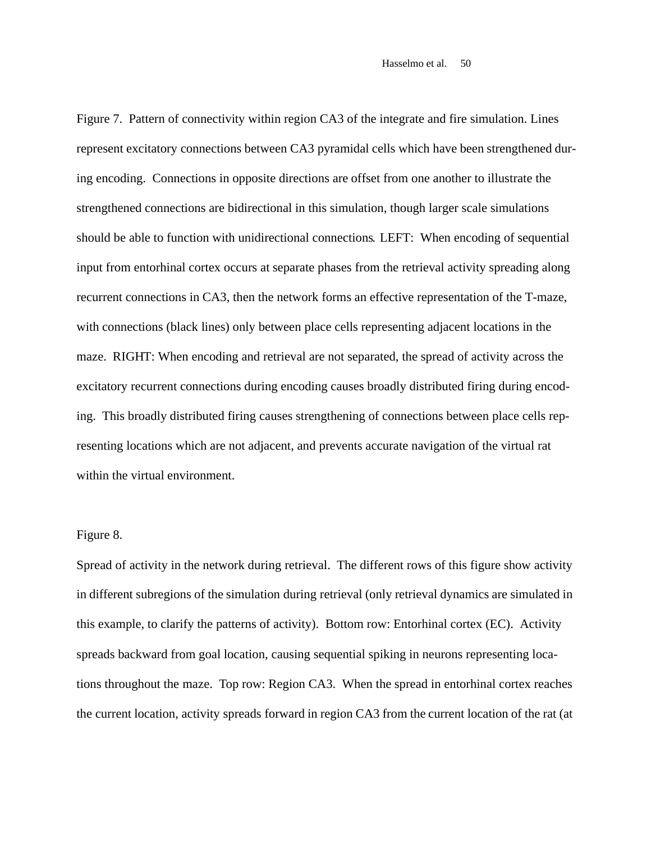Figure 7. Pattern of connectivity within region CA3 of the integrate and fire simulation. Lines represent excitatory connections between CA3 pyramidal cells which have been strengthened during encoding. Connections in opposite directions are offset from one another to illustrate the strengthened connections are bidirectional in this simulation, though larger scale simulations should be able to function with unidirectional connections. LEFT: When encoding of sequential input from entorhinal cortex occurs at separate phases from the retrieval activity spreading along recurrent connections in CA3, then the network forms an effective representation of the T-maze, with connections (black lines) only between place cells representing adjacent locations in the maze. RIGHT: When encoding and retrieval are not separated, the spread of activity across the excitatory recurrent connections during encoding causes broadly distributed firing during encoding. This broadly distributed firing causes strengthening of connections between place cells representing locations which are not adjacent, and prevents accurate navigation of the virtual rat within the virtual environment.

#### Figure 8.

Spread of activity in the network during retrieval. The different rows of this figure show activity in different subregions of the simulation during retrieval (only retrieval dynamics are simulated in this example, to clarify the patterns of activity). Bottom row: Entorhinal cortex (EC). Activity spreads backward from goal location, causing sequential spiking in neurons representing locations throughout the maze. Top row: Region CA3. When the spread in entorhinal cortex reaches the current location, activity spreads forward in region CA3 from the current location of the rat (at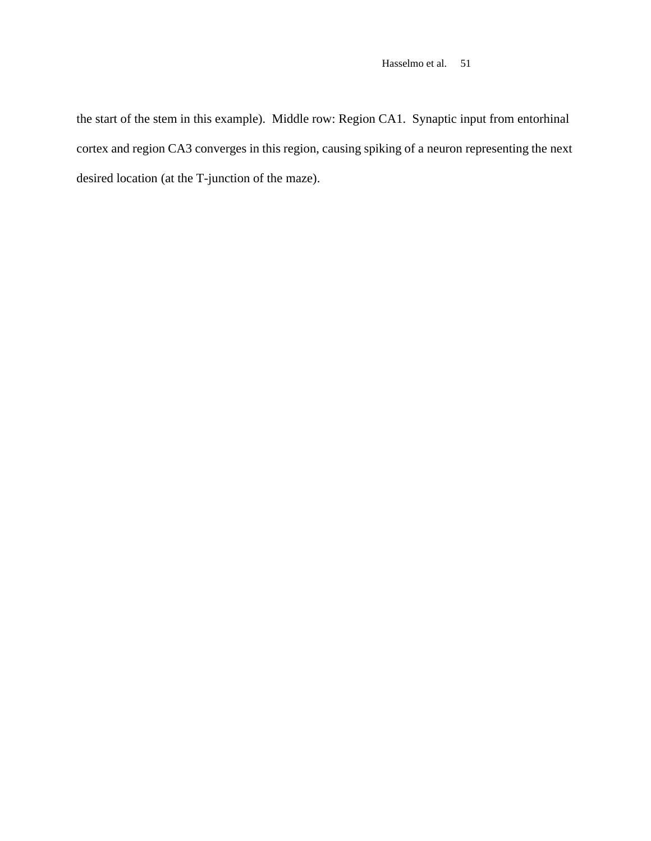the start of the stem in this example). Middle row: Region CA1. Synaptic input from entorhinal cortex and region CA3 converges in this region, causing spiking of a neuron representing the next desired location (at the T-junction of the maze).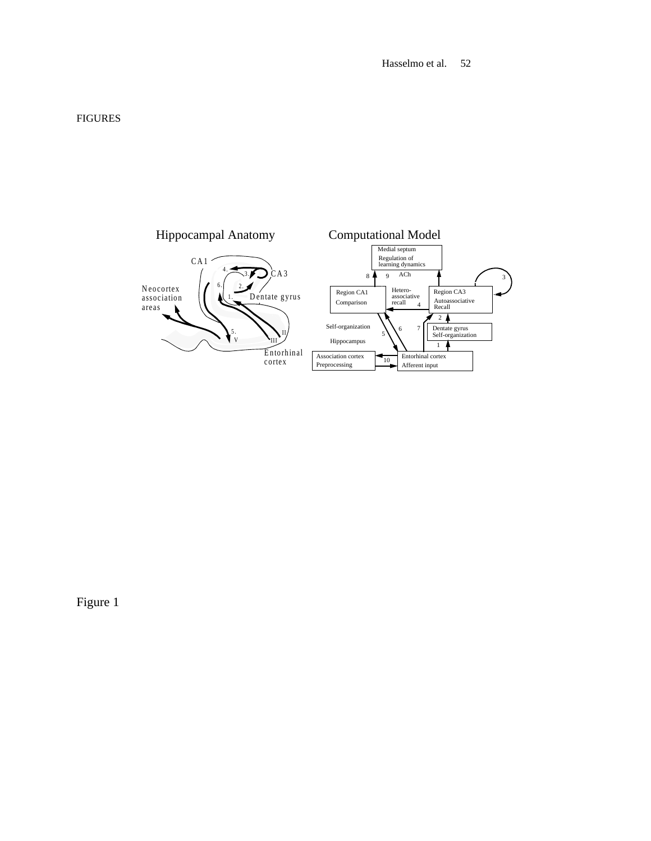#### FIGURES

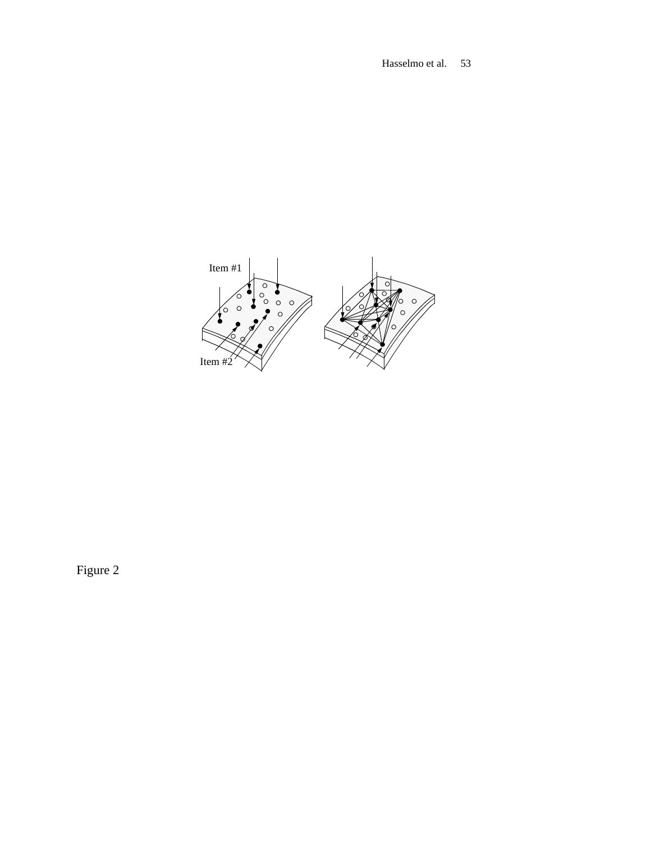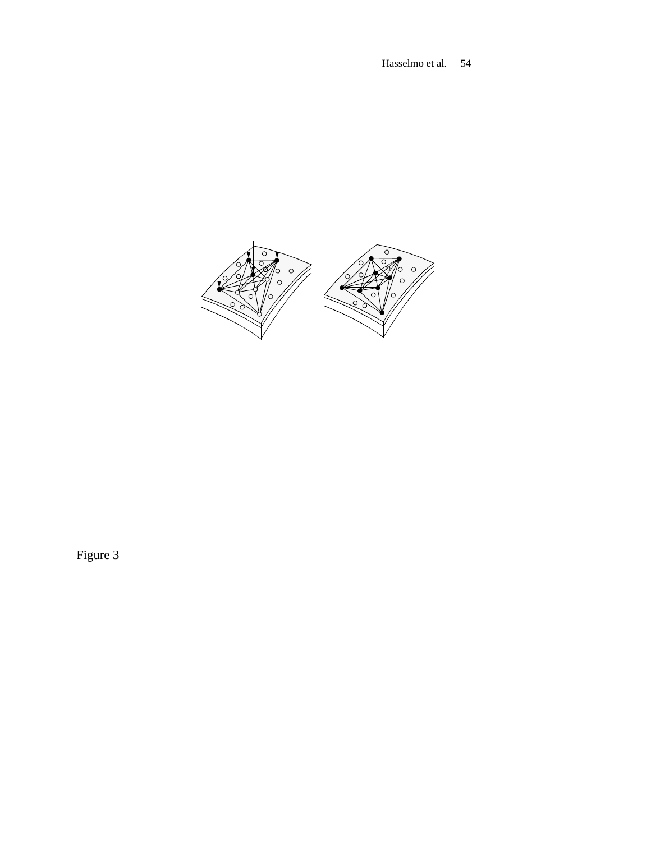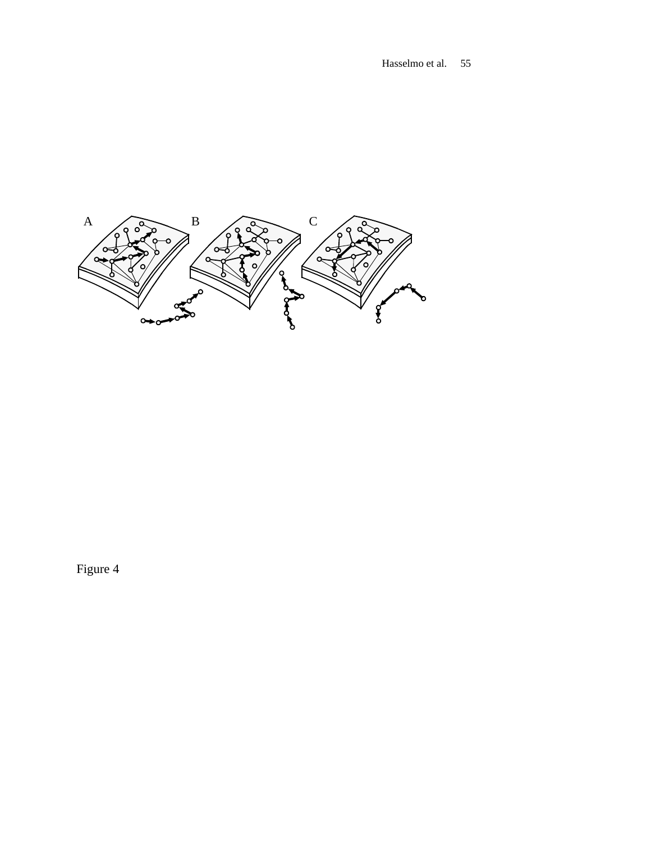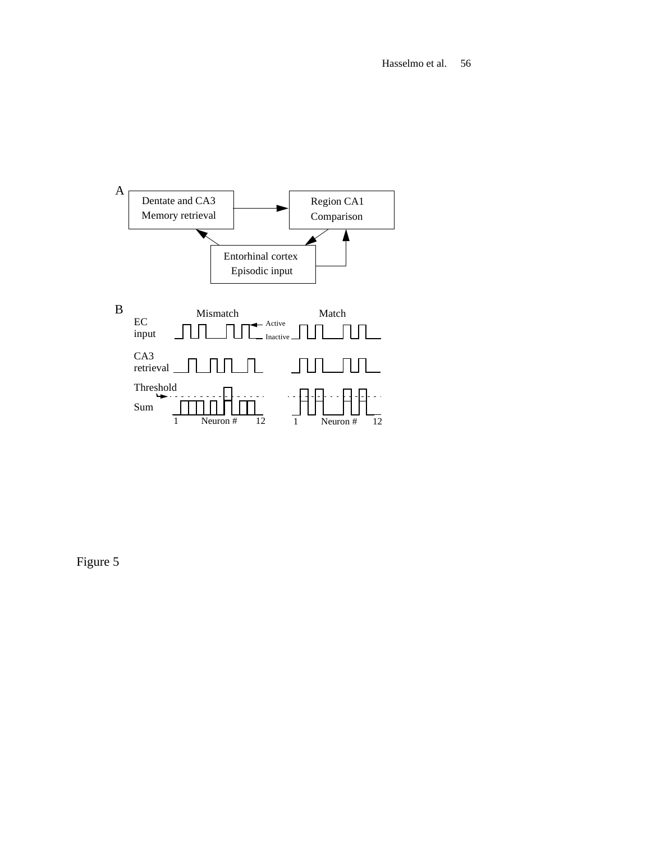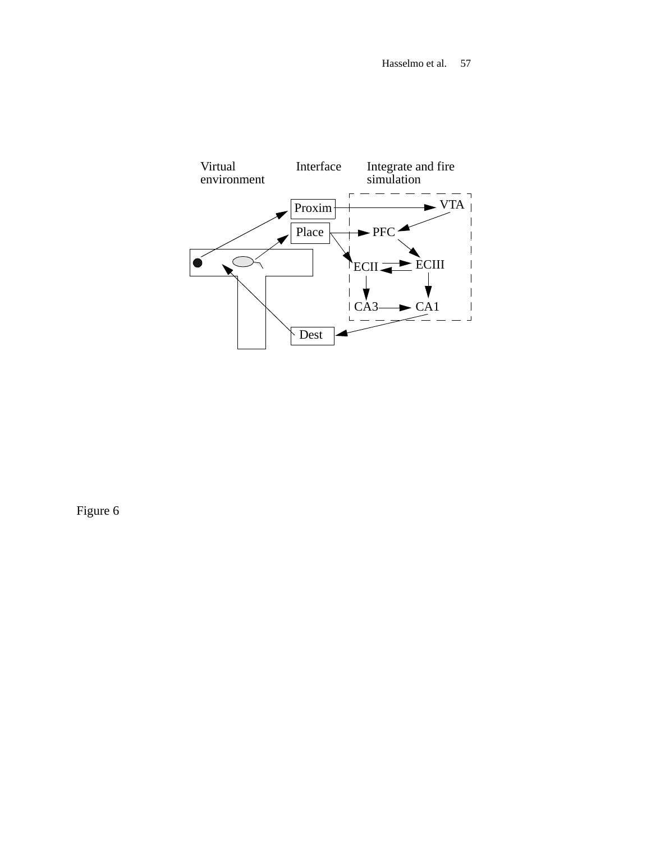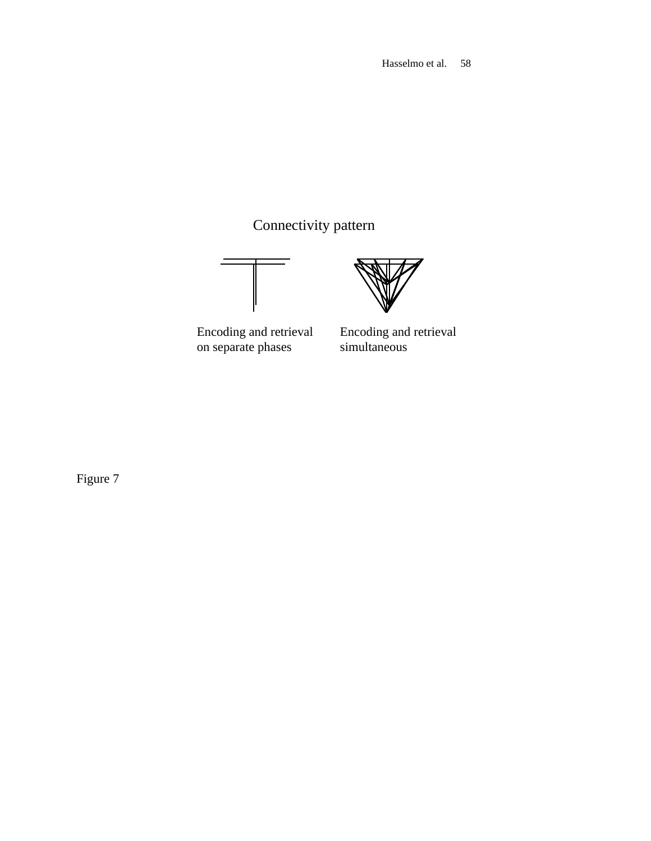Connectivity pattern



Encoding and retrieval on separate phases

Encoding and retrieval simultaneous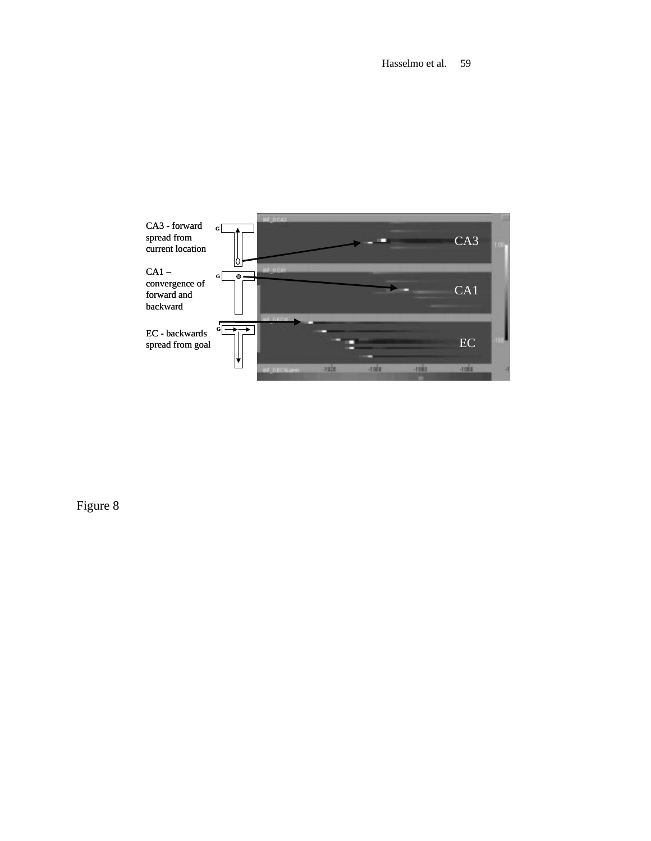